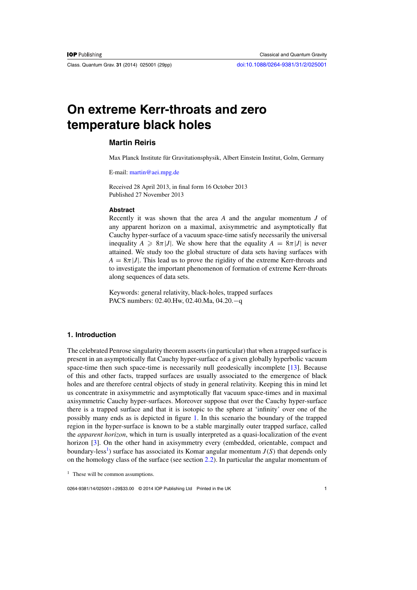Class. Quantum Grav. **31** (2014) 025001 (29pp) [doi:10.1088/0264-9381/31/2/025001](http://dx.doi.org/10.1088/0264-9381/31/2/025001)

# **On extreme Kerr-throats and zero temperature black holes**

# **Martin Reiris**

Max Planck Institute für Gravitationsphysik, Albert Einstein Institut, Golm, Germany

E-mail: [martin@aei.mpg.de](mailto:martin@aei.mpg.de)

Received 28 April 2013, in final form 16 October 2013 Published 27 November 2013

#### **Abstract**

Recently it was shown that the area *A* and the angular momentum *J* of any apparent horizon on a maximal, axisymmetric and asymptotically flat Cauchy hyper-surface of a vacuum space-time satisfy necessarily the universal inequality  $A \geq 8\pi |J|$ . We show here that the equality  $A = 8\pi |J|$  is never attained. We study too the global structure of data sets having surfaces with  $A = 8\pi |J|$ . This lead us to prove the rigidity of the extreme Kerr-throats and to investigate the important phenomenon of formation of extreme Kerr-throats along sequences of data sets.

Keywords: general relativity, black-holes, trapped surfaces PACS numbers: 02.40.Hw, 02.40.Ma, 04.20.−q

# **1. Introduction**

The celebrated Penrose singularity theorem asserts (in particular) that when a trapped surface is present in an asymptotically flat Cauchy hyper-surface of a given globally hyperbolic vacuum space-time then such space-time is necessarily null geodesically incomplete [\[13\]](#page-28-0). Because of this and other facts, trapped surfaces are usually associated to the emergence of black holes and are therefore central objects of study in general relativity. Keeping this in mind let us concentrate in axisymmetric and asymptotically flat vacuum space-times and in maximal axisymmetric Cauchy hyper-surfaces. Moreover suppose that over the Cauchy hyper-surface there is a trapped surface and that it is isotopic to the sphere at 'infinity' over one of the possibly many ends as is depicted in figure [1.](#page-1-0) In this scenario the boundary of the trapped region in the hyper-surface is known to be a stable marginally outer trapped surface, called the *apparent horizon*, which in turn is usually interpreted as a quasi-localization of the event horizon [\[3](#page-28-0)]. On the other hand in axisymmetry every (embedded, orientable, compact and boundary-less<sup>1</sup>) surface has associated its Komar angular momentum  $J(S)$  that depends only on the homology class of the surface (see section [2.2\)](#page-7-0). In particular the angular momentum of

0264-9381/14/025001+29\$33.00 © 2014 IOP Publishing Ltd Printed in the UK 1

 $<sup>1</sup>$  These will be common assumptions.</sup>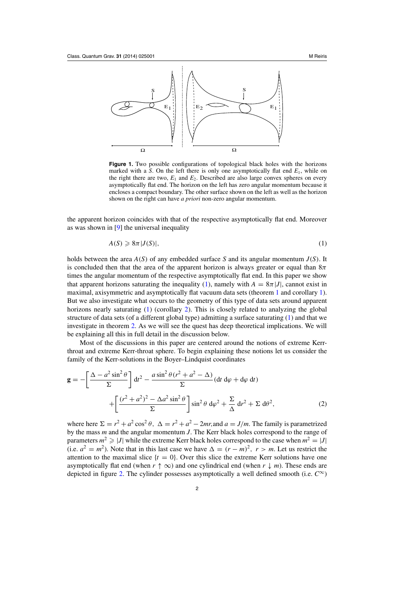<span id="page-1-0"></span>

**Figure 1.** Two possible configurations of topological black holes with the horizons marked with a *S*. On the left there is only one asymptotically flat end  $E_1$ , while on the right there are two,  $E_1$  and  $E_2$ . Described are also large convex spheres on every asymptotically flat end. The horizon on the left has zero angular momentum because it encloses a compact boundary. The other surface shown on the left as well as the horizon shown on the right can have *a priori* non-zero angular momentum.

the apparent horizon coincides with that of the respective asymptotically flat end. Moreover as was shown in [\[9](#page-28-0)] the universal inequality

$$
A(S) \geq 8\pi |J(S)|,\tag{1}
$$

holds between the area *A*(*S*) of any embedded surface *S* and its angular momentum *J*(*S*). It is concluded then that the area of the apparent horizon is always greater or equal than  $8\pi$ times the angular momentum of the respective asymptotically flat end. In this paper we show that apparent horizons saturating the inequality (1), namely with  $A = 8\pi |J|$ , cannot exist in maximal, axisymmetric and asymptotically flat vacuum data sets (theorem [1](#page-3-0) and corollary [1\)](#page-3-0). But we also investigate what occurs to the geometry of this type of data sets around apparent horizons nearly saturating (1) (corollary [2\)](#page-4-0). This is closely related to analyzing the global structure of data sets (of a different global type) admitting a surface saturating (1) and that we investigate in theorem [2.](#page-4-0) As we will see the quest has deep theoretical implications. We will be explaining all this in full detail in the discussion below.

Most of the discussions in this paper are centered around the notions of extreme Kerrthroat and extreme Kerr-throat sphere. To begin explaining these notions let us consider the family of the Kerr-solutions in the Boyer–Lindquist coordinates

$$
\mathbf{g} = -\left[\frac{\Delta - a^2 \sin^2 \theta}{\Sigma}\right] dt^2 - \frac{a \sin^2 \theta (r^2 + a^2 - \Delta)}{\Sigma} (dt \, d\varphi + d\varphi \, dt) + \left[\frac{(r^2 + a^2)^2 - \Delta a^2 \sin^2 \theta}{\Sigma}\right] \sin^2 \theta \, d\varphi^2 + \frac{\Sigma}{\Delta} dr^2 + \Sigma \, d\theta^2,
$$
 (2)

where here  $\Sigma = r^2 + a^2 \cos^2 \theta$ ,  $\Delta = r^2 + a^2 - 2mr$ , and  $a = J/m$ . The family is parametrized by the mass *m* and the angular momentum *J*. The Kerr black holes correspond to the range of parameters  $m^2 \ge |J|$  while the extreme Kerr black holes correspond to the case when  $m^2 = |J|$ (i.e.  $a^2 = m^2$ ). Note that in this last case we have  $\Delta = (r - m)^2$ ,  $r > m$ . Let us restrict the attention to the maximal slice  $\{t = 0\}$ . Over this slice the extreme Kerr solutions have one asymptotically flat end (when  $r \uparrow \infty$ ) and one cylindrical end (when  $r \downarrow m$ ). These ends are depicted in figure [2.](#page-2-0) The cylinder possesses asymptotically a well defined smooth (i.e.  $C^{\infty}$ )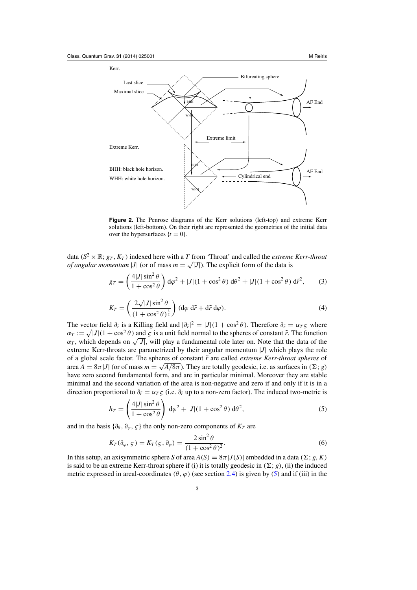<span id="page-2-0"></span>

**Figure 2.** The Penrose diagrams of the Kerr solutions (left-top) and extreme Kerr solutions (left-bottom). On their right are represented the geometries of the initial data over the hypersurfaces  $\{t = 0\}$ .

data ( $S^2 \times \mathbb{R}$ ;  $g_T$ ,  $K_T$ ) indexed here with a *T* from 'Throat' and called the *extreme Kerr-throat of angular momentum* |*J*| (or of mass  $m = \sqrt{|J|}$ ). The explicit form of the data is

$$
g_T = \left(\frac{4|J|\sin^2\theta}{1+\cos^2\theta}\right) d\varphi^2 + |J|(1+\cos^2\theta) d\theta^2 + |J|(1+\cos^2\theta) d\tilde{r}^2,\tag{3}
$$

$$
K_T = \left(\frac{2\sqrt{|J|}\sin^2\theta}{(1+\cos^2\theta)^{\frac{3}{2}}}\right) (\mathrm{d}\varphi \,\mathrm{d}\tilde{r} + \mathrm{d}\tilde{r} \,\mathrm{d}\varphi). \tag{4}
$$

The vector field  $\partial_{\tilde{r}}$  is a Killing field and  $|\partial_{\tilde{r}}|^2 = |J|(1 + \cos^2 \theta)$ . Therefore  $\partial_{\tilde{r}} = \alpha_T \zeta$  where  $\alpha_T := \sqrt{|J|(1 + \cos^2 \theta)}$  and  $\zeta$  is a unit field normal to the spheres of constant  $\tilde{r}$ . The function  $\alpha_T$ , which depends on  $\sqrt{|J|}$ , will play a fundamental role later on. Note that the data of the extreme Kerr-throats are parametrized by their angular momentum |*J*| which plays the role of a global scale factor. The spheres of constant  $\tilde{r}$  are called *extreme Kerr-throat spheres* of area  $A = 8\pi |J|$  (or of mass  $m = \sqrt{A/8\pi}$ ). They are totally geodesic, i.e. as surfaces in  $(\Sigma; g)$ have zero second fundamental form, and are in particular minimal. Moreover they are stable minimal and the second variation of the area is non-negative and zero if and only if it is in a direction proportional to  $\partial_{\tilde{r}} = \alpha_T \zeta$  (i.e.  $\partial_{\tilde{r}}$  up to a non-zero factor). The induced two-metric is

$$
h_T = \left(\frac{4|J|\sin^2\theta}{1+\cos^2\theta}\right) d\varphi^2 + |J|(1+\cos^2\theta) d\theta^2,
$$
\n(5)

and in the basis  $\{\partial_{\theta}, \partial_{\varphi}, \zeta\}$  the only non-zero components of  $K_T$  are

$$
K_T(\partial_\varphi, \zeta) = K_T(\zeta, \partial_\varphi) = \frac{2\sin^2\theta}{(1 + \cos^2\theta)^2}.
$$
\n(6)

In this setup, an axisymmetric sphere *S* of area  $A(S) = 8\pi |J(S)|$  embedded in a data ( $\Sigma$ ; *g*, *K*) is said to be an extreme Kerr-throat sphere if (i) it is totally geodesic in  $(\Sigma; g)$ , (ii) the induced metric expressed in areal-coordinates  $(\theta, \varphi)$  (see section [2.4\)](#page-8-0) is given by (5) and if (iii) in the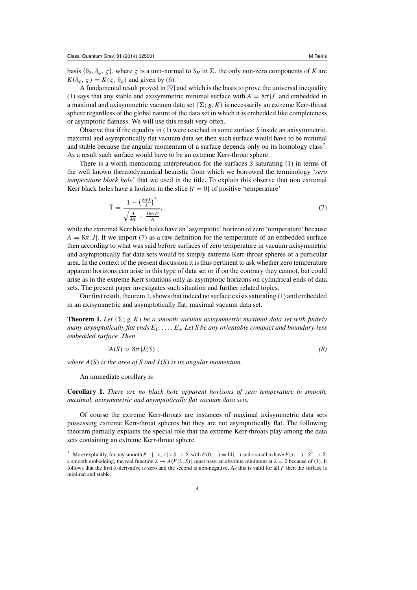<span id="page-3-0"></span>basis  $\{\partial_\theta, \partial_\varphi, \zeta\}$ , where  $\zeta$  is a unit-normal to  $S_H$  in  $\Sigma$ , the only non-zero components of *K* are  $K(\partial_{\varphi}, \zeta) = K(\zeta, \partial_{\varphi})$  and given by [\(6\)](#page-2-0).

A fundamental result proved in [\[9\]](#page-28-0) and which is the basis to prove the universal inequality [\(1\)](#page-1-0) says that any stable and axisymmetric minimal surface with  $A = 8\pi |J|$  and embedded in a maximal and axisymmetric vacuum data set  $(\Sigma; g, K)$  is necessarily an extreme Kerr-throat sphere regardless of the global nature of the data set in which it is embedded like completeness or asymptotic flatness. We will use this result very often.

Observe that if the equality in [\(1\)](#page-1-0) were reached in some surface *S* inside an axisymmetric, maximal and asymptotically flat vacuum data set then such surface would have to be minimal and stable because the angular momentum of a surface depends only on its homology class<sup>2</sup>. As a result such surface would have to be an extreme Kerr-throat sphere.

There is a worth mentioning interpretation for the surfaces *S* saturating [\(1\)](#page-1-0) in terms of the well known thermodynamical heuristic from which we borrowed the terminology '*zero temperature black hole*' that we used in the title. To explain this observe that non extremal Kerr black holes have a horizon in the slice  $\{t = 0\}$  of positive 'temperature'

$$
T = \frac{1 - \left(\frac{8\pi J}{A}\right)^2}{\sqrt{\frac{A}{4\pi} + \frac{16\pi J^2}{A}}},\tag{7}
$$

while the extremal Kerr black holes have an 'asymptotic' horizon of zero 'temperature' because  $A = 8\pi |J|$ . If we import (7) as a raw definition for the temperature of an embedded surface then according to what was said before surfaces of zero temperature in vacuum axisymmetric and asymptotically flat data sets would be simply extreme Kerr-throat spheres of a particular area. In the context of the present discussion it is thus pertinent to ask whether zero temperature apparent horizons can arise in this type of data set or if on the contrary they cannot, but could arise as in the extreme Kerr solutions only as asymptotic horizons on cylindrical ends of data sets. The present paper investigates such situation and further related topics.

Our first result, theorem 1, shows that indeed no surface exists saturating [\(1\)](#page-1-0) and embedded in an axisymmetric and asymptotically flat, maximal vacuum data set.

**Theorem 1.** Let  $(\Sigma; g, K)$  be a smooth vacuum axisymmetric maximal data set with finitely *many asymptotically flat ends E*1,..., *En. Let S be any orientable compact and boundary-less embedded surface. Then*

$$
A(S) > 8\pi |J(S)|,\tag{8}
$$

*where A*(*S*) *is the area of S and J*(*S*) *is its angular momentum.*

An immediate corollary is

**Corollary 1.** *There are no black hole apparent horizons of zero temperature in smooth, maximal, axisymmetric and asymptotically flat vacuum data sets.*

Of course the extreme Kerr-throats are instances of maximal axisymmetric data sets possessing extreme Kerr-throat spheres but they are not asymptotically flat. The following theorem partially explains the special role that the extreme Kerr-throats play among the data sets containing an extreme Kerr-throat sphere.

<sup>&</sup>lt;sup>2</sup> More explicitly, for any smooth  $F: [-\varepsilon, \varepsilon] \times S \to \Sigma$  with  $F(0, -) = \text{Id}(-)$  and  $\varepsilon$  small to have  $F(x, -): S^2 \to \Sigma$ a smooth embedding, the real function  $\lambda \to A(F(\lambda, S))$  must have an absolute minimum at  $\lambda = 0$  because of [\(1\)](#page-1-0). It follows that the first  $\lambda$ -derivative is zero and the second is non-negative. As this is valid for all *F* then the surface is minimal and stable.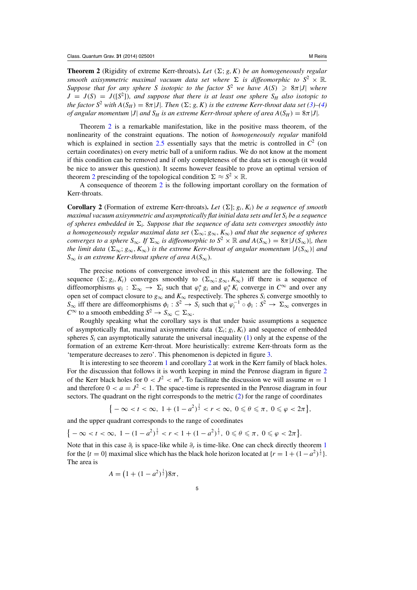<span id="page-4-0"></span>**Theorem 2** (Rigidity of extreme Kerr-throats). Let  $(\Sigma; g, K)$  be an homogeneously regular *smooth axisymmetric maximal vacuum data set where*  $\Sigma$  *is diffeomorphic to*  $S^2 \times \mathbb{R}$ *. Suppose that for any sphere S isotopic to the factor*  $S^2$  *we have*  $A(S) \geq 8\pi |J|$  *where*  $J = J(S) = J([S^2])$ , and suppose that there is at least one sphere  $S_H$  also isotopic to *the factor*  $S^2$  *with*  $A(S_H) = 8\pi |J|$ *. Then*  $(\Sigma; g, K)$  *is the extreme Kerr-throat data set*  $(3)–(4)$  $(3)–(4)$  $(3)–(4)$ *of angular momentum* |*J*| *and*  $S_H$  *is an extreme Kerr-throat sphere of area*  $A(S_H) = 8\pi |J|$ *.* 

Theorem 2 is a remarkable manifestation, like in the positive mass theorem, of the nonlinearity of the constraint equations. The notion of *homogeneously regular* manifold which is explained in section [2.5](#page-9-0) essentially says that the metric is controlled in  $\mathcal{C}^2$  (on certain coordinates) on every metric ball of a uniform radius. We do not know at the moment if this condition can be removed and if only completeness of the data set is enough (it would be nice to answer this question). It seems however feasible to prove an optimal version of theorem 2 prescinding of the topological condition  $\Sigma \approx S^2 \times \mathbb{R}$ .

A consequence of theorem 2 is the following important corollary on the formation of Kerr-throats.

**Corollary 2** (Formation of extreme Kerr-throats). Let  $(\Sigma; g_i, K_i)$  be a sequence of smooth *maximal vacuum axisymmetric and asymptotically flat initial data sets and let Si be a sequence of spheres embedded in*  $\Sigma_i$ . Suppose that the sequence of data sets converges smoothly into *a homogeneously regular maximal data set* ( $\Sigma_{\infty}$ ;  $g_{\infty}$ ,  $K_{\infty}$ ) *and that the sequence of spheres converges to a sphere*  $S_{\infty}$ *. If*  $\Sigma_{\infty}$  *is diffeomorphic to*  $S^2 \times \mathbb{R}$  *and*  $A(S_{\infty}) = 8\pi |J(S_{\infty})|$ *, then the limit data* ( $\Sigma_{\infty}$ ;  $g_{\infty}$ ,  $K_{\infty}$ ) *is the extreme Kerr-throat of angular momentum*  $|J(S_{\infty})|$  *and*  $S_{\infty}$  *is an extreme Kerr-throat sphere of area*  $A(S_{\infty})$ *.* 

The precise notions of convergence involved in this statement are the following. The sequence  $(\Sigma; g_i, K_i)$  converges smoothly to  $(\Sigma_{\infty}; g_{\infty}, K_{\infty})$  iff there is a sequence of diffeomorphisms  $\varphi_i$ :  $\Sigma_{\infty} \to \Sigma_i$  such that  $\varphi_i^* g_i$  and  $\varphi_i^* K_i$  converge in  $C^{\infty}$  and over any open set of compact closure to  $g_{\infty}$  and  $K_{\infty}$  respectively. The spheres  $S_i$  converge smoothly to  $S_{\infty}$  iff there are diffeomorphisms  $\phi_i : S^2 \to S_i$  such that  $\varphi_i^{-1} \circ \phi_i : S^2 \to \Sigma_{\infty}$  converges in *C*<sup>∞</sup> to a smooth embedding *S*<sup>2</sup> → *S*<sub>∞</sub> ⊂  $\Sigma_{\infty}$ .

Roughly speaking what the corollary says is that under basic assumptions a sequence of asymptotically flat, maximal axisymmetric data  $(\Sigma_i; g_i, K_i)$  and sequence of embedded spheres  $S_i$  can asymptotically saturate the universal inequality  $(1)$  only at the expense of the formation of an extreme Kerr-throat. More heuristically: extreme Kerr-throats form as the 'temperature decreases to zero'. This phenomenon is depicted in figure [3.](#page-5-0)

It is interesting to see theorem [1](#page-3-0) and corollary 2 at work in the Kerr family of black holes. For the discussion that follows it is worth keeping in mind the Penrose diagram in figure [2](#page-2-0) of the Kerr black holes for  $0 < J^2 < m^4$ . To facilitate the discussion we will assume  $m = 1$ and therefore  $0 < a = J^2 < 1$ . The space-time is represented in the Penrose diagram in four sectors. The quadrant on the right corresponds to the metric [\(2\)](#page-1-0) for the range of coordinates

$$
\{-\infty < t < \infty, \ 1 + (1 - a^2)^{\frac{1}{2}} < r < \infty, \ 0 \le \theta \le \pi, \ 0 \le \varphi < 2\pi\},\
$$

and the upper quadrant corresponds to the range of coordinates

 $\{-\infty < t < \infty, 1 - (1 - a^2)^{\frac{1}{2}} < r < 1 + (1 - a^2)^{\frac{1}{2}}, 0 \leq \theta \leq \pi, 0 \leq \varphi < 2\pi\}.$ 

Note that in this case  $\partial_t$  is space-like while  $\partial_r$  is time-like. One can check directly theorem [1](#page-3-0) for the  $\{t = 0\}$  maximal slice which has the black hole horizon located at  $\{r = 1 + (1 - a^2)^{\frac{1}{2}}\}$ . The area is

$$
A = (1 + (1 - a^2)^{\frac{1}{2}})8\pi,
$$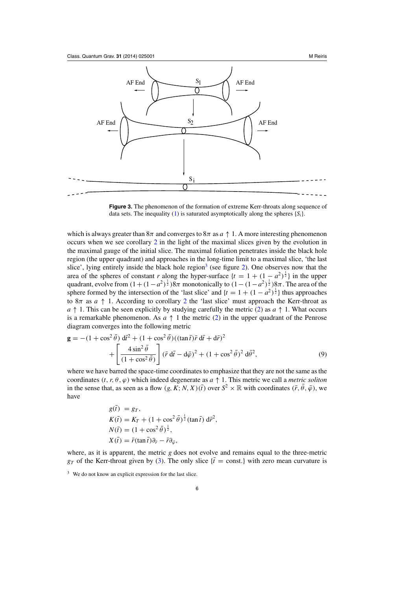<span id="page-5-0"></span>

**Figure 3.** The phenomenon of the formation of extreme Kerr-throats along sequence of data sets. The inequality [\(1\)](#page-1-0) is saturated asymptotically along the spheres  $\{S_i\}$ .

which is always greater than  $8\pi$  and converges to  $8\pi$  as  $a \uparrow 1$ . A more interesting phenomenon occurs when we see corollary [2](#page-4-0) in the light of the maximal slices given by the evolution in the maximal gauge of the initial slice. The maximal foliation penetrates inside the black hole region (the upper quadrant) and approaches in the long-time limit to a maximal slice, 'the last slice', lying entirely inside the black hole region<sup>3</sup> (see figure [2\)](#page-2-0). One observes now that the area of the spheres of constant *r* along the hyper-surface  $\{t = 1 + (1 - a^2)^{\frac{1}{2}}\}$  in the upper quadrant, evolve from  $(1 + (1 - a^2)^{\frac{1}{2}})8\pi$  monotonically to  $(1 - (1 - a^2)^{\frac{1}{2}})8\pi$ . The area of the sphere formed by the intersection of the 'last slice' and  $\{t = 1 + (1 - a^2)^{\frac{1}{2}}\}$  thus approaches to  $8\pi$  as  $a \uparrow 1$ . According to corollary [2](#page-4-0) the 'last slice' must approach the Kerr-throat as *a*  $\uparrow$  1. This can be seen explicitly by studying carefully the metric [\(2\)](#page-1-0) as *a*  $\uparrow$  1. What occurs is a remarkable phenomenon. As  $a \uparrow 1$  the metric [\(2\)](#page-1-0) in the upper quadrant of the Penrose diagram converges into the following metric

$$
\mathbf{g} = -(1 + \cos^2 \bar{\theta}) \, d\bar{t}^2 + (1 + \cos^2 \bar{\theta}) ((\tan \bar{t}) \bar{r} \, d\bar{t} + d\bar{r})^2 + \left[ \frac{4 \sin^2 \bar{\theta}}{(1 + \cos^2 \bar{\theta})} \right] (\bar{r} \, d\bar{t} - d\bar{\varphi})^2 + (1 + \cos^2 \bar{\theta})^2 \, d\bar{\theta}^2,
$$
(9)

where we have barred the space-time coordinates to emphasize that they are not the same as the coordinates  $(t, r, \theta, \varphi)$  which indeed degenerate as  $a \uparrow 1$ . This metric we call a *metric soliton* in the sense that, as seen as a flow  $(g, K; N, X)(\bar{t})$  over  $S^2 \times \mathbb{R}$  with coordinates  $(\bar{r}, \bar{\theta}, \bar{\varphi})$ , we have

$$
g(\bar{t}) = g_T,
$$
  
\n
$$
K(\bar{t}) = K_T + (1 + \cos^2 \bar{\theta})^{\frac{1}{2}} (\tan \bar{t}) d\bar{r}^2,
$$
  
\n
$$
N(\bar{t}) = (1 + \cos^2 \bar{\theta})^{\frac{1}{2}},
$$
  
\n
$$
X(\bar{t}) = \bar{r} (\tan \bar{t}) \partial_{\bar{r}} - \bar{r} \partial_{\bar{\varphi}},
$$

where, as it is apparent, the metric *g* does not evolve and remains equal to the three-metric  $g_T$  of the Kerr-throat given by [\(3\)](#page-2-0). The only slice  $\{\bar{t} = \text{const.}\}$  with zero mean curvature is

<sup>3</sup> We do not know an explicit expression for the last slice.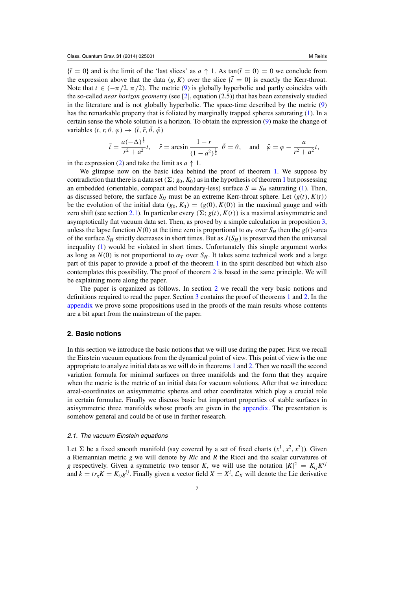<span id="page-6-0"></span> ${\bar{t}} = 0$ } and is the limit of the 'last slices' as  $a \uparrow 1$ . As tan( $\bar{t} = 0$ ) = 0 we conclude from the expression above that the data  $(g, K)$  over the slice  $\{\bar{t} = 0\}$  is exactly the Kerr-throat. Note that  $t \in (-\pi/2, \pi/2)$ . The metric [\(9\)](#page-5-0) is globally hyperbolic and partly coincides with the so-called *near horizon geometry* (see [\[2\]](#page-28-0), equation (2.5)) that has been extensively studied in the literature and is not globally hyperbolic. The space-time described by the metric [\(9\)](#page-5-0) has the remarkable property that is foliated by marginally trapped spheres saturating [\(1\)](#page-1-0). In a certain sense the whole solution is a horizon. To obtain the expression [\(9\)](#page-5-0) make the change of variables  $(t, r, \theta, \varphi) \rightarrow (\bar{t}, \bar{r}, \bar{\theta}, \bar{\varphi})$ 

$$
\bar{t} = \frac{a(-\Delta)^{\frac{1}{2}}}{r^2 + a^2}t
$$
,  $\bar{r} = \arcsin \frac{1-r}{(1-a^2)^{\frac{1}{2}}}$ ,  $\bar{\theta} = \theta$ , and  $\bar{\phi} = \phi - \frac{a}{r^2 + a^2}t$ ,

in the expression [\(2\)](#page-1-0) and take the limit as  $a \uparrow 1$ .

We glimpse now on the basic idea behind the proof of theorem [1.](#page-3-0) We suppose by contradiction that there is a data set  $(\Sigma; g_0, K_0)$  as in the hypothesis of theorem [1](#page-3-0) but possessing an embedded (orientable, compact and boundary-less) surface  $S = S_H$  saturating [\(1\)](#page-1-0). Then, as discussed before, the surface  $S_H$  must be an extreme Kerr-throat sphere. Let  $(g(t), K(t))$ be the evolution of the initial data  $(g_0, K_0) = (g(0), K(0))$  in the maximal gauge and with zero shift (see section 2.1). In particular every  $(\Sigma; g(t), K(t))$  is a maximal axisymmetric and asymptotically flat vacuum data set. Then, as proved by a simple calculation in proposition [3,](#page-11-0) unless the lapse function  $N(0)$  at the time zero is proportional to  $\alpha_T$  over  $S_H$  then the  $g(t)$ -area of the surface  $S_H$  strictly decreases in short times. But as  $J(S_H)$  is preserved then the universal inequality [\(1\)](#page-1-0) would be violated in short times. Unfortunately this simple argument works as long as  $N(0)$  is not proportional to  $\alpha_T$  over  $S_H$ . It takes some technical work and a large part of this paper to provide a proof of the theorem [1](#page-3-0) in the spirit described but which also contemplates this possibility. The proof of theorem [2](#page-4-0) is based in the same principle. We will be explaining more along the paper.

The paper is organized as follows. In section 2 we recall the very basic notions and definitions required to read the paper. Section [3](#page-11-0) contains the proof of theorems [1](#page-3-0) and [2.](#page-4-0) In the [appendix](#page-23-0) we prove some propositions used in the proofs of the main results whose contents are a bit apart from the mainstream of the paper.

# **2. Basic notions**

In this section we introduce the basic notions that we will use during the paper. First we recall the Einstein vacuum equations from the dynamical point of view. This point of view is the one appropriate to analyze initial data as we will do in theorems [1](#page-3-0) and [2.](#page-4-0) Then we recall the second variation formula for minimal surfaces on three manifolds and the form that they acquire when the metric is the metric of an initial data for vacuum solutions. After that we introduce areal-coordinates on axisymmetric spheres and other coordinates which play a crucial role in certain formulae. Finally we discuss basic but important properties of stable surfaces in axisymmetric three manifolds whose proofs are given in the [appendix.](#page-23-0) The presentation is somehow general and could be of use in further research.

#### 2.1. The vacuum Einstein equations

Let  $\Sigma$  be a fixed smooth manifold (say covered by a set of fixed charts  $(x^1, x^2, x^3)$ ). Given a Riemannian metric *g* we will denote by *Ric* and *R* the Ricci and the scalar curvatures of *g* respectively. Given a symmetric two tensor *K*, we will use the notation  $|K|^2 = K_{ij} K^{ij}$ and  $k = tr_g K = K_{ij} g^{ij}$ . Finally given a vector field  $X = X^i$ ,  $\mathcal{L}_X$  will denote the Lie derivative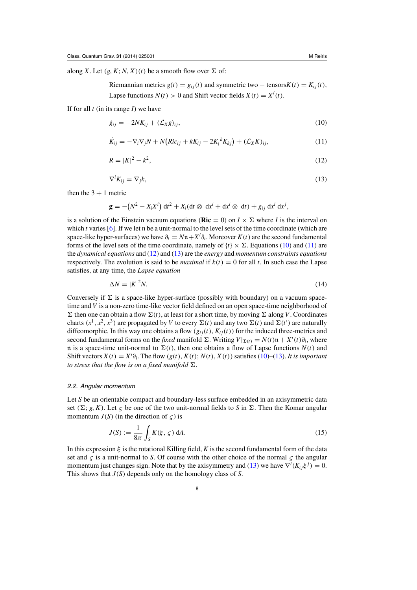<span id="page-7-0"></span>along *X*. Let  $(g, K; N, X)(t)$  be a smooth flow over  $\Sigma$  of:

Riemannian metrics  $g(t) = g_{ij}(t)$  and symmetric two – tensors $K(t) = K_{ij}(t)$ , Lapse functions  $N(t) > 0$  and Shift vector fields  $X(t) = X^{i}(t)$ .

If for all *t* (in its range *I*) we have

$$
\dot{g}_{ij} = -2NK_{ij} + (\mathcal{L}_X g)_{ij},\tag{10}
$$

$$
\dot{K}_{ij} = -\nabla_i \nabla_j N + N \left( Ric_{ij} + kK_{ij} - 2K_i^k K_{kj} \right) + \left( \mathcal{L}_X K \right)_{ij},\tag{11}
$$

$$
R = |K|^2 - k^2,\tag{12}
$$

$$
\nabla^i K_{ij} = \nabla_j k,\tag{13}
$$

then the  $3 + 1$  metric

$$
\mathbf{g} = -\left(N^2 - X_i X^i\right) \mathrm{d}t^2 + X_i (\mathrm{d}t \otimes \mathrm{d}x^i + \mathrm{d}x^i \otimes \mathrm{d}t) + g_{ij} \mathrm{d}x^i \mathrm{d}x^j,
$$

is a solution of the Einstein vacuum equations (**Ric** = 0) on  $I \times \Sigma$  where *I* is the interval on which *t* varies [\[6\]](#page-28-0). If we let n be a unit-normal to the level sets of the time coordinate (which are space-like hyper-surfaces) we have  $\partial_t = Nn + X^i \partial_i$ . Moreover  $K(t)$  are the second fundamental forms of the level sets of the time coordinate, namely of  $\{t\} \times \Sigma$ . Equations (10) and (11) are the *dynamical equations* and (12) and (13) are the *energy* and *momentum constraints equations* respectively. The evolution is said to be *maximal* if  $k(t) = 0$  for all *t*. In such case the Lapse satisfies, at any time, the *Lapse equation*

$$
\Delta N = |K|^2 N. \tag{14}
$$

Conversely if  $\Sigma$  is a space-like hyper-surface (possibly with boundary) on a vacuum spacetime and *V* is a non-zero time-like vector field defined on an open space-time neighborhood of  $\Sigma$  then one can obtain a flow  $\Sigma(t)$ , at least for a short time, by moving  $\Sigma$  along *V*. Coordinates charts  $(x^1, x^2, x^3)$  are propagated by *V* to every  $\Sigma(t)$  and any two  $\Sigma(t)$  and  $\Sigma(t')$  are naturally diffeomorphic. In this way one obtains a flow  $(g_{ij}(t), K_{ij}(t))$  for the induced three-metrics and second fundamental forms on the *fixed* manifold  $\Sigma$ . Writing  $V|_{\Sigma(t)} = N(t)\mathfrak{n} + X^{i}(t)\partial_{i}$ , where n is a space-time unit-normal to  $\Sigma(t)$ , then one obtains a flow of Lapse functions  $N(t)$  and Shift vectors  $X(t) = X^i \partial_i$ . The flow  $(g(t), K(t); N(t), X(t))$  satisfies (10)–(13). *It is important to stress that the flow is on a fixed manifold*  $\Sigma$ .

## 2.2. Angular momentum

Let *S* be an orientable compact and boundary-less surface embedded in an axisymmetric data set  $(\Sigma; g, K)$ . Let  $\zeta$  be one of the two unit-normal fields to *S* in  $\Sigma$ . Then the Komar angular momentum  $J(S)$  (in the direction of  $\varsigma$ ) is

$$
J(S) := \frac{1}{8\pi} \int_{S} K(\xi, \zeta) \, dA.
$$
 (15)

In this expression  $\xi$  is the rotational Killing field,  $K$  is the second fundamental form of the data set and  $\zeta$  is a unit-normal to *S*. Of course with the other choice of the normal  $\zeta$  the angular momentum just changes sign. Note that by the axisymmetry and (13) we have  $\nabla^{i}(K_{ij}\xi^{j}) = 0$ . This shows that *J*(*S*) depends only on the homology class of *S*.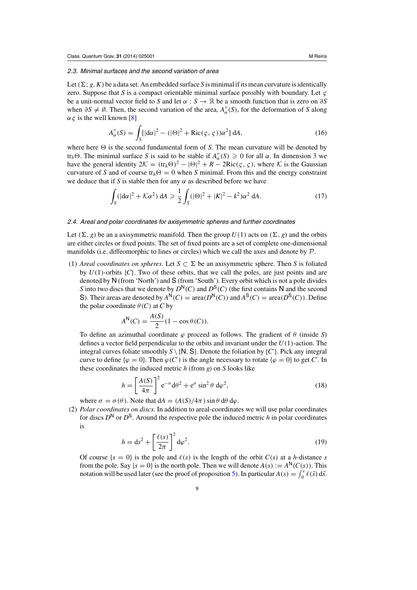#### <span id="page-8-0"></span>2.3. Minimal surfaces and the second variation of area

Let  $(\Sigma; g, K)$  be a data set. An embedded surface *S* is minimal if its mean curvature is identically zero. Suppose that *S* is a compact orientable minimal surface possibly with boundary. Let  $\zeta$ be a unit-normal vector field to *S* and let  $\alpha$  :  $S \to \mathbb{R}$  be a smooth function that is zero on  $\partial S$ when  $\partial S \neq \emptyset$ . Then, the second variation of the area, *A*<sup>''</sup><sub>α</sub>(*S*), for the deformation of *S* along  $\alpha \zeta$  is the well known [\[8\]](#page-28-0)

$$
A''_{\alpha}(S) = \int_{S} [|\mathbf{d}\alpha|^{2} - (|\Theta|^{2} + \text{Ric}(\varsigma, \varsigma))\alpha^{2}] dA,
$$
\n(16)

where here  $\Theta$  is the second fundamental form of *S*. The mean curvature will be denoted by tr<sub>h</sub> $\Theta$ . The minimal surface *S* is said to be stable if  $A''_{\alpha}(S) \geq 0$  for all  $\alpha$ . In dimension 3 we have the general identity  $2K = (\text{tr}_h \Theta)^2 - |\Theta|^2 + R - 2Ric(\varsigma, \varsigma)$ , where K is the Gaussian curvature of *S* and of course  $tr_h \Theta = 0$  when *S* minimal. From this and the energy constraint we deduce that if *S* is stable then for any  $\alpha$  as described before we have

$$
\int_{S} (|\mathbf{d}\alpha|^{2} + \mathcal{K}\alpha^{2}) \, \mathbf{d}A \geq \frac{1}{2} \int_{S} (|\Theta|^{2} + |K|^{2} - k^{2}) \alpha^{2} \, \mathbf{d}A. \tag{17}
$$

#### 2.4. Areal and polar coordinates for axisymmetric spheres and further coordinates

Let  $(\Sigma, g)$  be an a axisymmetric manifold. Then the group  $U(1)$  acts on  $(\Sigma, g)$  and the orbits are either circles or fixed points. The set of fixed points are a set of complete one-dimensional manifolds (i.e. diffeomorphic to lines or circles) which we call the axes and denote by  $\mathcal{P}$ .

(1) *Areal coordinates on spheres*. Let  $S \subset \Sigma$  be an axisymmetric sphere. Then *S* is foliated by  $U(1)$ -orbits  ${C}$ . Two of these orbits, that we call the poles, are just points and are denoted by N (from 'North') and S (from 'South'). Every orbit which is not a pole divides *S* into two discs that we denote by  $D^N(C)$  and  $D^S(C)$  (the first contains N and the second S). Their areas are denoted by  $A^N(C) = \text{area}(D^N(C))$  and  $A^S(C) = \text{area}(D^S(C))$ . Define the polar coordinate  $\theta$  (*C*) at *C* by

$$
A^{\mathsf{N}}(C) = \frac{A(S)}{2}(1 - \cos \theta(C)).
$$

To define an azimuthal coordinate  $\varphi$  proceed as follows. The gradient of  $\theta$  (inside *S*) defines a vector field perpendicular to the orbits and invariant under the *U*(1)-action. The integral curves foliate smoothly  $S \setminus \{N, S\}$ . Denote the foliation by  $\{C'\}$ . Pick any integral curve to define  $\{\varphi = 0\}$ . Then  $\varphi(C')$  is the angle necessary to rotate  $\{\varphi = 0\}$  to get *C'*. In these coordinates the induced metric *h* (from *g*) on *S* looks like

$$
h = \left[\frac{A(S)}{4\pi}\right]^2 e^{-\sigma} d\theta^2 + e^{\sigma} \sin^2 \theta d\varphi^2,
$$
 (18)

where  $\sigma = \sigma(\theta)$ . Note that  $dA = (A(S)/4\pi) \sin \theta d\theta d\varphi$ .

(2) *Polar coordinates on discs.* In addition to areal-coordinates we will use polar coordinates for discs  $D^N$  or  $D^S$ . Around the respective pole the induced metric *h* in polar coordinates is

$$
h = ds2 + \left[\frac{\ell(s)}{2\pi}\right]^2 d\varphi^2.
$$
 (19)

Of course  $\{s = 0\}$  is the pole and  $\ell(s)$  is the length of the orbit  $C(s)$  at a *h*-distance *s* from the pole. Say  $\{s = 0\}$  is the north pole. Then we will denote  $A(s) := A^N(C(s))$ . This notation will be used later (see the proof of proposition [5\)](#page-15-0). In particular  $A(s) = \int_0^s \ell(\bar{s}) d\bar{s}$ .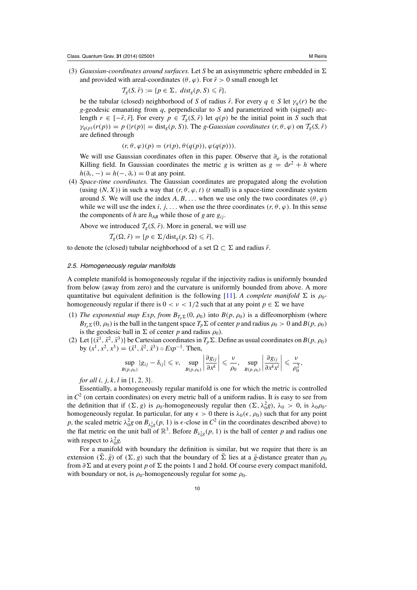<span id="page-9-0"></span>(3) *Gaussian-coordinates around surfaces*. Let *S* be an axisymmetric sphere embedded in  $\Sigma$ and provided with areal-coordinates ( $\theta$ ,  $\varphi$ ). For  $\bar{r} > 0$  small enough let

$$
\mathcal{T}_g(S,\bar{r}) := \{p \in \Sigma, \ dist_g(p,S) \leq \bar{r}\},\
$$

be the tubular (closed) neighborhood of *S* of radius  $\bar{r}$ . For every  $q \in S$  let  $\gamma_q(r)$  be the *g*-geodesic emanating from *q*, perpendicular to *S* and parametrized with (signed) arclength  $r \in [-\bar{r}, \bar{r}]$ . For every  $p \in \mathcal{T}_g(S, \bar{r})$  let  $q(p)$  be the initial point in *S* such that  $\gamma_{q(p)}(r(p)) = p(|r(p)| = \text{dist}_g(p, S))$ . The *g*-*Gaussian coordinates*  $(r, \theta, \varphi)$  on  $\mathcal{T}_g(S, \bar{r})$ are defined through

$$
(r, \theta, \varphi)(p) = (r(p), \theta(q(p)), \varphi(q(p))).
$$

We will use Gaussian coordinates often in this paper. Observe that  $\partial_{\varphi}$  is the rotational Killing field. In Gaussian coordinates the metric *g* is written as  $g = dr^2 + h$  where  $h(\partial_r, -) = h(-, \partial_r) = 0$  at any point.

(4) *Space-time coordinates.* The Gaussian coordinates are propagated along the evolution (using  $(N, X)$ ) in such a way that  $(r, \theta, \varphi, t)$  (*t* small) is a space-time coordinate system around *S*. We will use the index  $A, B, \ldots$  when we use only the two coordinates  $(\theta, \varphi)$ while we will use the index *i*, *j*,... when use the three coordinates  $(r, \theta, \varphi)$ . In this sense the components of *h* are  $h_{AB}$  while those of *g* are  $g_{ij}$ .

Above we introduced  $\mathcal{T}_{\varrho}(S, \bar{r})$ . More in general, we will use

$$
\mathcal{T}_g(\Omega,\bar{r}) = \{p \in \Sigma / \text{dist}_g(p,\Omega) \leqslant \bar{r}\},\
$$

to denote the (closed) tubular neighborhood of a set  $\Omega \subset \Sigma$  and radius  $\bar{r}$ .

# 2.5. Homogeneously regular manifolds

A complete manifold is homogeneously regular if the injectivity radius is uniformly bounded from below (away from zero) and the curvature is uniformly bounded from above. A more quantitative but equivalent definition is the following [\[11](#page-28-0)]. *A complete manifold*  $\Sigma$  is  $\rho_0$ homogeneously regular if there is  $0 < v < 1/2$  such that at any point  $p \in \Sigma$  we have

- (1) *The exponential map Exp, from*  $B_{T_n \Sigma} (0, \rho_0)$  *into*  $B(p, \rho_0)$  *is a diffeomorphism (where*  $B_{T_p \Sigma}(0, \rho_0)$  is the ball in the tangent space  $T_p \Sigma$  of center *p* and radius  $\rho_0 > 0$  and  $B(p, \rho_0)$ is the geodesic ball in  $\Sigma$  of center *p* and radius  $\rho_0$ ).
- (2) Let  $\{(\bar{x}^1, \bar{x}^2, \bar{x}^3)\}\$  be Cartesian coordinates in  $T_p\Sigma$ . Define as usual coordinates on  $B(p, \rho_0)$ by  $(x^1, x^2, x^3) = (\bar{x}^1, \bar{x}^2, \bar{x}^3) \circ Exp^{-1}$ . Then,

$$
\sup_{B(p,\rho_0)}|g_{ij}-\delta_{ij}|\leq v,\quad \sup_{B(p,\rho_0)}\left|\frac{\partial g_{ij}}{\partial x^k}\right|\leq \frac{v}{\rho_0},\quad \sup_{B(p,\rho_0)}\left|\frac{\partial g_{ij}}{\partial x^k x^l}\right|\leq \frac{v}{\rho_0^2},
$$

*for all i*, *j*, *k*, *l* in {1, 2, 3}.

Essentially, a homogeneously regular manifold is one for which the metric is controlled in  $C<sup>2</sup>$  (on certain coordinates) on every metric ball of a uniform radius. It is easy to see from the definition that if  $(\Sigma, g)$  is  $\rho_0$ -homogeneously regular then  $(\Sigma, \lambda_0^2 g)$ ,  $\lambda_0 > 0$ , is  $\lambda_0 \rho_0$ homogeneously regular. In particular, for any  $\epsilon > 0$  there is  $\lambda_0(\epsilon, \rho_0)$  such that for any point *p*, the scaled metric  $\lambda_0^2 g$  on  $B_{\lambda_0^2 g}(p, 1)$  is  $\epsilon$ -close in  $C^2$  (in the coordinates described above) to the flat metric on the unit ball of  $\mathbb{R}^3$ . Before  $B_{\lambda_0^2 g}(p, 1)$  is the ball of center p and radius one with respect to  $\lambda_0^2 g$ .

For a manifold with boundary the definition is similar, but we require that there is an extension  $(\Sigma, \bar{g})$  of  $(\Sigma, g)$  such that the boundary of  $\Sigma$  lies at a  $\bar{g}$ -distance greater than  $\rho_0$ from  $\partial \Sigma$  and at every point *p* of  $\Sigma$  the points 1 and 2 hold. Of course every compact manifold, with boundary or not, is  $\rho_0$ -homogeneously regular for some  $\rho_0$ .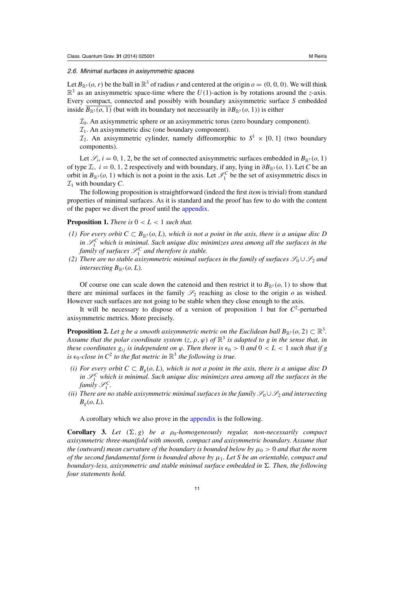#### <span id="page-10-0"></span>2.6. Minimal surfaces in axisymmetric spaces

Let  $B_{\mathbb{R}^3}(o, r)$  be the ball in  $\mathbb{R}^3$  of radius *r* and centered at the origin  $o = (0, 0, 0)$ . We will think  $\mathbb{R}^3$  as an axisymmetric space-time where the  $U(1)$ -action is by rotations around the *z*-axis. Every compact, connected and possibly with boundary axisymmetric surface *S* embedded inside  $B_{\mathbb{R}^3}(o, 1)$  (but with its boundary not necessarily in  $\partial B_{\mathbb{R}^3}(o, 1)$ ) is either

 $\mathcal{I}_0$ . An axisymmetric sphere or an axisymmetric torus (zero boundary component).

 $\mathcal{I}_1$ . An axisymmetric disc (one boundary component).

 $\mathcal{I}_2$ . An axisymmetric cylinder, namely diffeomorphic to  $S^1 \times [0, 1]$  (two boundary components).

Let  $\mathcal{S}_i$ ,  $i = 0, 1, 2$ , be the set of connected axisymmetric surfaces embedded in  $B_{\mathbb{R}^3}(o, 1)$ of type  $\mathcal{I}_i$ ,  $i = 0, 1, 2$  respectively and with boundary, if any, lying in  $\partial B_{\mathbb{R}^3}(o, 1)$ . Let *C* be an orbit in  $B_{\mathbb{R}^3}(o, 1)$  which is not a point in the axis. Let  $\mathcal{I}_1^C$  be the set of axisymmetric discs in  $\mathcal{I}_1$  with boundary C.

The following proposition is straightforward (indeed the first *item* is trivial) from standard properties of minimal surfaces. As it is standard and the proof has few to do with the content of the paper we divert the proof until the [appendix.](#page-23-0)

# **Proposition 1.** *There is*  $0 < L < 1$  *such that.*

- *(1) For every orbit*  $C ⊂ B_{\mathbb{R}^3}(o, L)$ *, which is not a point in the axis, there is a unique disc D* in  $\mathscr{S}_1^C$  which is minimal. Such unique disc minimizes area among all the surfaces in the *family of surfaces*  $\mathscr{S}_1^C$  *and therefore is stable.*
- *(2) There are no stable axisymmetric minimal surfaces in the family of surfaces*  $\mathcal{S}_0 \cup \mathcal{S}_2$  *and intersecting*  $B_{\mathbb{R}^3}(o, L)$ *.*

Of course one can scale down the catenoid and then restrict it to  $B_{\mathbb{R}^3}(o, 1)$  to show that there are minimal surfaces in the family  $\mathcal{S}_2$  reaching as close to the origin  $\rho$  as wished. However such surfaces are not going to be stable when they close enough to the axis.

It will be necessary to dispose of a version of proposition 1 but for *C*2-perturbed axisymmetric metrics. More precisely.

**Proposition 2.** Let g be a smooth axisymmetric metric on the Euclidean ball  $B_{\mathbb{R}^3}(o, 2) \subset \mathbb{R}^3$ . *Assume that the polar coordinate system*  $(z, \rho, \varphi)$  *of*  $\mathbb{R}^3$  *is adapted to g in the sense that, in these coordinates*  $g_{ij}$  *is independent on*  $\varphi$ *. Then there is*  $\epsilon_0 > 0$  *and*  $0 < L < 1$  *such that if*  $g$ *is*  $\epsilon_0$ -close in  $C^2$  *to the flat metric in*  $\mathbb{R}^3$  *the following is true.* 

- *(i) For every orbit*  $C ⊂ B<sub>g</sub>(o, L)$ *, which is not a point in the axis, there is a unique disc D* in  $\mathscr{S}_1^C$  which is minimal. Such unique disc minimizes area among all the surfaces in the *family*  $\mathscr{S}_1^C$ .
- *(ii) There are no stable axisymmetric minimal surfaces in the family*  $\mathscr{S}_0 \cup \mathscr{S}_2$  *and intersecting*  $B_g$  $(o, L)$ *.*

A corollary which we also prove in the [appendix](#page-23-0) is the following.

**Corollary 3.** Let  $(\Sigma, g)$  be a  $\rho_0$ -homogeneously regular, non-necessarily compact *axisymmetric three-manifold with smooth, compact and axisymmetric boundary. Assume that the (outward) mean curvature of the boundary is bounded below by*  $\mu_0 > 0$  *and that the norm of the second fundamental form is bounded above by*  $\mu_1$ *. Let S be an orientable, compact and boundary-less, axisymmetric and stable minimal surface embedded in*  $\Sigma$ . Then, the following *four statements hold.*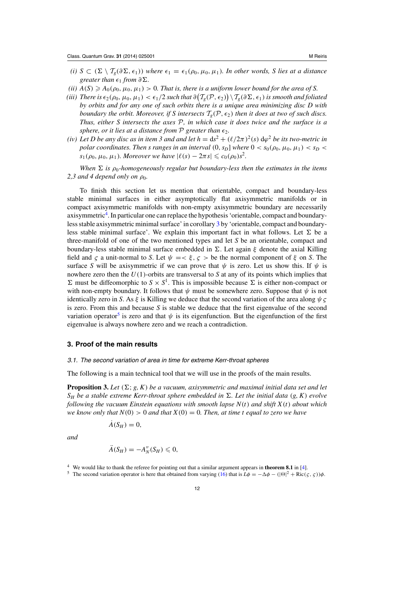- <span id="page-11-0"></span>*(i)*  $S$  ⊂ ( $\Sigma$  \  $\mathcal{T}_g(\partial \Sigma, \epsilon_1)$ ) *where*  $\epsilon_1 = \epsilon_1(\rho_0, \mu_0, \mu_1)$ *. In other words, S lies at a distance greater than*  $\epsilon_1$  *from*  $\partial \Sigma$ *.*
- *(ii)*  $A(S) \geq A_0(\rho_0, \mu_0, \mu_1) > 0$ . That is, there is a uniform lower bound for the area of S.
- (*iii*) There is  $\epsilon_2(\rho_0, \mu_0, \mu_1) < \epsilon_1/2$  such that  $\partial(T_g(\mathcal{P}, \epsilon_2)) \setminus T_g(\partial \Sigma, \epsilon_1)$  is smooth and foliated *by orbits and for any one of such orbits there is a unique area minimizing disc D with boundary the orbit. Moreover, if S intersects*  $T<sub>e</sub>(P, \epsilon_2)$  *then it does at two of such discs. Thus, either S intersects the axes* P*, in which case it does twice and the surface is a sphere, or it lies at a distance from*  $P$  *greater than*  $\epsilon_2$ *.*
- *(iv)* Let D be any disc as in item 3 and and let  $h = ds^2 + (\ell/2\pi)^2(s) d\varphi^2$  be its two-metric in *polar coordinates. Then s ranges in an interval*  $(0, s_D]$  *where*  $0 < s_0(\rho_0, \mu_0, \mu_1) < s_D$ *s*<sub>1</sub>( $\rho_0$ ,  $\mu_0$ ,  $\mu_1$ )*. Moreover we have*  $|\ell(s) - 2\pi s| \leq c_0(\rho_0) s^2$ *.*

*When*  $\Sigma$  *is*  $\rho_0$ -homogeneously regular but boundary-less then the estimates in the items 2,3 and 4 depend only on  $\rho_0$ .

To finish this section let us mention that orientable, compact and boundary-less stable minimal surfaces in either asymptotically flat axisymmetric manifolds or in compact axisymmetric manifolds with non-empty axisymmetric boundary are necessarily axisymmetric<sup>4</sup>. In particular one can replace the hypothesis 'orientable, compact and boundaryless stable axisymmetric minimal surface' in corollary [3](#page-10-0) by 'orientable, compact and boundaryless stable minimal surface'. We explain this important fact in what follows. Let  $\Sigma$  be a three-manifold of one of the two mentioned types and let *S* be an orientable, compact and boundary-less stable minimal surface embedded in  $\Sigma$ . Let again ξ denote the axial Killing field and *c* a unit-normal to *S*. Let  $\psi = \langle \xi, \zeta \rangle$  be the normal component of  $\xi$  on *S*. The surface *S* will be axisymmetric if we can prove that  $\psi$  is zero. Let us show this. If  $\psi$  is nowhere zero then the *U*(1)-orbits are transversal to *S* at any of its points which implies that  $\Sigma$  must be diffeomorphic to  $S \times S^1$ . This is impossible because  $\Sigma$  is either non-compact or with non-empty boundary. It follows that  $\psi$  must be somewhere zero. Suppose that  $\psi$  is not identically zero in *S*. As  $\xi$  is Killing we deduce that the second variation of the area along  $\psi \zeta$ is zero. From this and because *S* is stable we deduce that the first eigenvalue of the second variation operator<sup>5</sup> is zero and that  $\psi$  is its eigenfunction. But the eigenfunction of the first eigenvalue is always nowhere zero and we reach a contradiction.

# **3. Proof of the main results**

## 3.1. The second variation of area in time for extreme Kerr-throat spheres

The following is a main technical tool that we will use in the proofs of the main results.

**Proposition 3.** Let  $(\Sigma; g, K)$  be a vacuum, axisymmetric and maximal initial data set and let  $S_H$  *be a stable extreme Kerr-throat sphere embedded in*  $\Sigma$ *. Let the initial data* (*g*, *K*) *evolve following the vacuum Einstein equations with smooth lapse N*(*t*) *and shift X*(*t*) *about which we know only that*  $N(0) > 0$  *and that*  $X(0) = 0$ *. Then, at time t equal to zero we have* 

 $\dot{A}(S_H) = 0$ ,

*and*

$$
\tilde{A}(S_H)=-A''_N(S_H)\leqslant 0,
$$

<sup>5</sup> The second variation operator is here that obtained from varying [\(16\)](#page-8-0) that is  $L\phi = -\Delta\phi - (|\Theta|^2 + \text{Ric}(\varsigma, \varsigma))\phi$ .

<sup>4</sup> We would like to thank the referee for pointing out that a similar argument appears in **theorem 8.1** in [\[4\]](#page-28-0).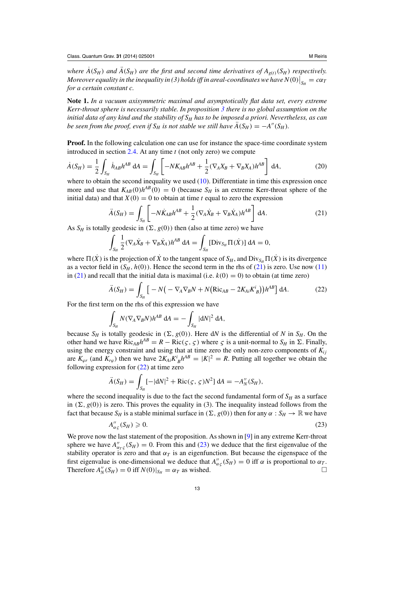<span id="page-12-0"></span>*where*  $\dot{A}(S_H)$  *and*  $\ddot{A}(S_H)$  *are the first and second time derivatives of*  $A_{g(t)}(S_H)$  *respectively. Moreover equality in the inequality in (3) holds iff in areal-coordinates we have*  $N(0)\Big|_{S_H} = c\alpha_I$ *for a certain constant c.*

**Note 1.** *In a vacuum axisymmetric maximal and asymptotically flat data set, every extreme Kerr-throat sphere is necessarily stable. In proposition [3](#page-11-0) there is no global assumption on the initial data of any kind and the stability of SH has to be imposed a priori. Nevertheless, as can be seen from the proof, even if*  $S_H$  *is not stable we still have*  $\ddot{A}(S_H) = -A''(S_H)$ *.* 

**Proof.** In the following calculation one can use for instance the space-time coordinate system introduced in section [2.4.](#page-8-0) At any time *t* (not only zero) we compute

$$
\dot{A}(S_H) = \frac{1}{2} \int_{S_H} \dot{h}_{AB} h^{AB} \, \mathrm{d}A = \int_{S_H} \left[ -N K_{AB} h^{AB} + \frac{1}{2} (\nabla_A X_B + \nabla_B X_A) h^{AB} \right] \, \mathrm{d}A,\tag{20}
$$

where to obtain the second inequality we used [\(10\)](#page-7-0). Differentiate in time this expression once more and use that  $K_{AB}(0)h^{AB}(0) = 0$  (because  $S_H$  is an extreme Kerr-throat sphere of the initial data) and that  $X(0) = 0$  to obtain at time *t* equal to zero the expression

$$
\ddot{A}(S_H) = \int_{S_H} \left[ -N\dot{K}_{AB}h^{AB} + \frac{1}{2} (\nabla_A \dot{X}_B + \nabla_B \dot{X}_A)h^{AB} \right] dA.
$$
 (21)

As  $S_H$  is totally geodesic in  $(\Sigma, g(0))$  then (also at time zero) we have

$$
\int_{S_H} \frac{1}{2} (\nabla_A \dot{X}_B + \nabla_B \dot{X}_A) h^{AB} dA = \int_{S_H} [\text{Div}_{S_H} \Pi(\dot{X})] dA = 0,
$$

where  $\Pi(X)$  is the projection of X to the tangent space of  $S_H$ , and  $Div_{S_H} \Pi(X)$  is its divergence as a vector field in  $(S_H, h(0))$ . Hence the second term in the rhs of (21) is zero. Use now [\(11\)](#page-7-0) in (21) and recall that the initial data is maximal (i.e.  $k(0) = 0$ ) to obtain (at time zero)

$$
\ddot{A}(S_H) = \int_{S_H} \left[ -N \left( -\nabla_A \nabla_B N + N \left( \text{Ric}_{AB} - 2K_{Ai} K_B^i \right) \right) h^{AB} \right] dA. \tag{22}
$$

For the first term on the rhs of this expression we have

$$
\int_{S_H} N(\nabla_A \nabla_B N) h^{AB} \, \mathrm{d}A = - \int_{S_H} |\mathrm{d}N|^2 \, \mathrm{d}A,
$$

because  $S_H$  is totally geodesic in  $(\Sigma, g(0))$ . Here dN is the differential of N in  $S_H$ . On the other hand we have  $Ric_{AB}h^{AB} = R - Ric(\varsigma, \varsigma)$  where  $\varsigma$  is a unit-normal to  $S_H$  in  $\Sigma$ . Finally, using the energy constraint and using that at time zero the only non-zero components of  $K_{ij}$ are  $K_{\varphi r}$  (and  $K_{r\varphi}$ ) then we have  $2K_{Ai}K_{B}^{i}h^{AB} = |K|^{2} = R$ . Putting all together we obtain the following expression for  $(22)$  at time zero

$$
\ddot{A}(S_H) = \int_{S_H} [-|dN|^2 + \text{Ric}(\zeta, \zeta)N^2] dA = -A_N''(S_H),
$$

where the second inequality is due to the fact the second fundamental form of  $S_H$  as a surface in  $(\Sigma, g(0))$  is zero. This proves the equality in (3). The inequality instead follows from the fact that because  $S_H$  is a stable minimal surface in  $(\Sigma, g(0))$  then for any  $\alpha : S_H \to \mathbb{R}$  we have

$$
A''_{\alpha\varsigma}(S_H) \geqslant 0. \tag{23}
$$

We prove now the last statement of the proposition. As shown in [\[9](#page-28-0)] in any extreme Kerr-throat sphere we have  $A''_{\alpha_T\varsigma}(S_H) = 0$ . From this and (23) we deduce that the first eigenvalue of the stability operator is zero and that  $\alpha_T$  is an eigenfunction. But because the eigenspace of the first eigenvalue is one-dimensional we deduce that  $A''_{\alpha\zeta}(S_H) = 0$  iff  $\alpha$  is proportional to  $\alpha_T$ . Therefore  $A''_N(S_H) = 0$  iff  $N(0)|_{S_H} = \alpha_T$  as wished.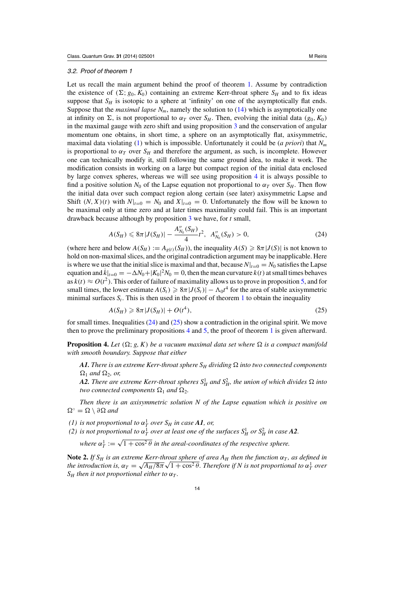# <span id="page-13-0"></span>3.2. Proof of theorem 1

Let us recall the main argument behind the proof of theorem [1.](#page-3-0) Assume by contradiction the existence of  $(\Sigma; g_0, K_0)$  containing an extreme Kerr-throat sphere  $S_H$  and to fix ideas suppose that  $S_H$  is isotopic to a sphere at 'infinity' on one of the asymptotically flat ends. Suppose that the *maximal lapse*  $N_m$ , namely the solution to  $(14)$  which is asymptotically one at infinity on  $\Sigma$ , is not proportional to  $\alpha_T$  over  $S_H$ . Then, evolving the initial data ( $g_0, K_0$ ) in the maximal gauge with zero shift and using proposition [3](#page-11-0) and the conservation of angular momentum one obtains, in short time, a sphere on an asymptotically flat, axisymmetric, maximal data violating [\(1\)](#page-1-0) which is impossible. Unfortunately it could be (*a priori*) that *Nm* is proportional to  $\alpha_T$  over  $S_H$  and therefore the argument, as such, is incomplete. However one can technically modify it, still following the same ground idea, to make it work. The modification consists in working on a large but compact region of the initial data enclosed by large convex spheres, whereas we will see using proposition 4 it is always possible to find a positive solution  $N_0$  of the Lapse equation not proportional to  $\alpha_T$  over  $S_H$ . Then flow the initial data over such compact region along certain (see later) axisymmetric Lapse and Shift  $(N, X)(t)$  with  $N|_{t=0} = N_0$  and  $X|_{t=0} = 0$ . Unfortunately the flow will be known to be maximal only at time zero and at later times maximality could fail. This is an important drawback because although by proposition [3](#page-11-0) we have, for *t* small,

$$
A(S_H) \leq 8\pi |J(S_H)| - \frac{A_{N_0}''(S_H)}{4}t^2, \ \ A_{N_0}''(S_H) > 0,
$$
\n<sup>(24)</sup>

(where here and below  $A(S_H) := A_{g(t)}(S_H)$ ), the inequality  $A(S) \geq 8\pi |J(S)|$  is not known to hold on non-maximal slices, and the original contradiction argument may be inapplicable. Here is where we use that the initial slice is maximal and that, because  $N|_{t=0} = N_0$  satisfies the Lapse equation and  $\dot{k}|_{t=0} = -\Delta N_0 + |K_0|^2 N_0 = 0$ , then the mean curvature  $k(t)$  at small times behaves as  $k(t) \approx O(t^2)$ . This order of failure of maximality allows us to prove in proposition [5,](#page-15-0) and for small times, the lower estimate  $A(S_t) \ge 8\pi |J(S_t)| - \Lambda_0 t^4$  for the area of stable axisymmetric minimal surfaces  $S_t$ . This is then used in the proof of theorem [1](#page-3-0) to obtain the inequality

$$
A(S_H) \geq 8\pi |J(S_H)| + O(t^4),\tag{25}
$$

for small times. Inequalities  $(24)$  and  $(25)$  show a contradiction in the original spirit. We move then to prove the preliminary propositions 4 and [5,](#page-15-0) the proof of theorem [1](#page-3-0) is given afterward.

**Proposition 4.** Let  $(\Omega; g, K)$  be a vacuum maximal data set where  $\Omega$  is a compact manifold *with smooth boundary. Suppose that either*

A1. There is an extreme Kerr-throat sphere  $S_H$  dividing  $\Omega$  into two connected components  $\Omega_1$  *and*  $\Omega_2$ *, or,* 

A2. There are extreme Kerr-throat spheres  $S_H^1$  and  $S_H^2$ , the union of which divides  $\Omega$  into *two connected components*  $\Omega_1$  *and*  $\Omega_2$ *.* 

*Then there is an axisymmetric solution N of the Lapse equation which is positive on*  $\Omega^{\circ} = \Omega \setminus \partial \Omega$  and

- *(1) is not proportional to*  $\alpha_T^1$  *over*  $S_H$  *in case*  $\boldsymbol{A}\boldsymbol{I}$ *, or,*
- *(2) is not proportional to*  $\alpha_T^1$  *over at least one of the surfaces*  $S_H^1$  *or*  $S_H^2$  *in case* A2.

where  $\alpha_T^1 := \sqrt{1 + \cos^2{\theta}}$  *in the areal-coordinates of the respective sphere.* 

**Note 2.** *If*  $S_H$  *is an extreme Kerr-throat sphere of area A<sub>H</sub> <i>then the function*  $\alpha_T$ *, as defined in the introduction is,*  $\alpha_T = \sqrt{A_H/8\pi} \sqrt{1 + \cos^2 \theta}$ . Therefore if N is not proportional to  $\alpha_T^1$  over *S<sub>H</sub> then it not proportional either to*  $\alpha_T$ *.*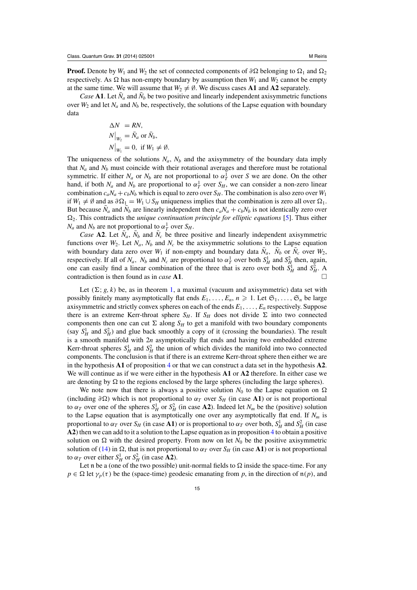**Proof.** Denote by  $W_1$  and  $W_2$  the set of connected components of  $\partial \Omega$  belonging to  $\Omega_1$  and  $\Omega_2$ respectively. As  $\Omega$  has non-empty boundary by assumption then  $W_1$  and  $W_2$  cannot be empty at the same time. We will assume that  $W_2 \neq \emptyset$ . We discuss cases **A1** and **A2** separately.

*Case* **A1**. Let  $\bar{N}_a$  and  $\bar{N}_b$  be two positive and linearly independent axisymmetric functions over  $W_2$  and let  $N_a$  and  $N_b$  be, respectively, the solutions of the Lapse equation with boundary data

$$
\Delta N = RN,
$$
  
\n
$$
N\big|_{W_2} = \bar{N}_a \text{ or } \bar{N}_b,
$$
  
\n
$$
N\big|_{W_1} = 0, \text{ if } W_1 \neq \emptyset.
$$

The uniqueness of the solutions  $N_a$ ,  $N_b$  and the axisymmetry of the boundary data imply that  $N_a$  and  $N_b$  must coincide with their rotational averages and therefore must be rotational symmetric. If either  $N_a$  or  $N_b$  are not proportional to  $\alpha_T^1$  over *S* we are done. On the other hand, if both  $N_a$  and  $N_b$  are proportional to  $\alpha_T^1$  over  $S_H$ , we can consider a non-zero linear combination  $c_aN_a + c_bN_b$  which is equal to zero over  $S_H$ . The combination is also zero over  $W_1$ if *W*<sub>1</sub>  $\neq$  *Ø* and as  $∂Ω<sub>1</sub> = W<sub>1</sub> ∪ S<sub>H</sub>$  uniqueness implies that the combination is zero all over  $Ω<sub>1</sub>$ . But because  $\bar{N}_a$  and  $\bar{N}_b$  are linearly independent then  $c_a N_a + c_b N_b$  is not identically zero over 12. This contradicts the *unique continuation principle for elliptic equations* [\[5](#page-28-0)]. Thus either *N<sub>a</sub>* and *N<sub>b</sub>* are not proportional to  $\alpha_T^1$  over  $S_H$ .

*Case* **A2**. Let  $\bar{N}_a$ ,  $\bar{N}_b$  and  $\bar{N}_c$  be three positive and linearly independent axisymmetric functions over  $W_2$ . Let  $N_a$ ,  $N_b$  and  $N_c$  be the axisymmetric solutions to the Lapse equation with boundary data zero over  $W_1$  if non-empty and boundary data  $\bar{N}_a$ ,  $\bar{N}_b$  or  $\bar{N}_c$  over  $W_2$ , respectively. If all of  $N_a$ ,  $N_b$  and  $N_c$  are proportional to  $\alpha_T^1$  over both  $S_H^1$  and  $S_H^2$  then, again, one can easily find a linear combination of the three that is zero over both  $S_H^1$  and  $S_H^2$ . A contradiction is then found as in *case* **A1**. #

Let  $(\Sigma; g, k)$  be, as in theorem [1,](#page-3-0) a maximal (vacuum and axisymmetric) data set with possibly finitely many asymptotically flat ends  $E_1, \ldots, E_n, n \geq 1$ . Let  $\mathfrak{S}_1, \ldots, \mathfrak{S}_n$  be large axisymmetric and strictly convex spheres on each of the ends *E*1,..., *En* respectively. Suppose there is an extreme Kerr-throat sphere  $S_H$ . If  $S_H$  does not divide  $\Sigma$  into two connected components then one can cut  $\Sigma$  along  $S_H$  to get a manifold with two boundary components (say  $S_H^1$  and  $S_H^2$ ) and glue back smoothly a copy of it (crossing the boundaries). The result is a smooth manifold with 2*n* asymptotically flat ends and having two embedded extreme Kerr-throat spheres  $S_H^1$  and  $S_H^2$  the union of which divides the manifold into two connected components. The conclusion is that if there is an extreme Kerr-throat sphere then either we are in the hypothesis **A1** of proposition [4](#page-13-0) or that we can construct a data set in the hypothesis **A2**. We will continue as if we were either in the hypothesis **A1** or **A2** therefore. In either case we are denoting by  $\Omega$  to the regions enclosed by the large spheres (including the large spheres).

We note now that there is always a positive solution  $N_0$  to the Lapse equation on  $\Omega$ (including  $\partial \Omega$ ) which is not proportional to  $\alpha_T$  over  $S_H$  (in case A1) or is not proportional to  $\alpha_T$  over one of the spheres  $S_H^1$  or  $S_H^2$  (in case **A2**). Indeed let  $N_m$  be the (positive) solution to the Lapse equation that is asymptotically one over any asymptotically flat end. If  $N_m$  is proportional to  $\alpha_T$  over  $S_H$  (in case A1) or is proportional to  $\alpha_T$  over both,  $S_H^1$  and  $S_H^2$  (in case **A2**) then we can add to it a solution to the Lapse equation as in proposition [4](#page-13-0) to obtain a positive solution on  $\Omega$  with the desired property. From now on let  $N_0$  be the positive axisymmetric solution of [\(14\)](#page-7-0) in  $\Omega$ , that is not proportional to  $\alpha_T$  over  $S_H$  (in case A1) or is not proportional to  $\alpha_T$  over either  $S_H^1$  or  $S_H^2$  (in case **A2**).

Let n be a (one of the two possible) unit-normal fields to  $\Omega$  inside the space-time. For any  $p \in \Omega$  let  $\gamma_p(\tau)$  be the (space-time) geodesic emanating from *p*, in the direction of  $\mathfrak{n}(p)$ , and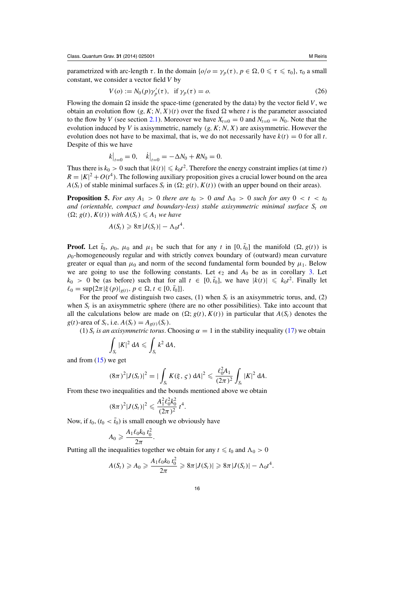<span id="page-15-0"></span>parametrized with arc-length  $\tau$ . In the domain  $\{o/o = \gamma_p(\tau), p \in \Omega, 0 \leq \tau \leq \tau_0\}$ ,  $\tau_0$  a small constant, we consider a vector field *V* by

$$
V(o) := N_0(p)\gamma_p'(\tau), \text{ if } \gamma_p(\tau) = o. \tag{26}
$$

Flowing the domain  $\Omega$  inside the space-time (generated by the data) by the vector field *V*, we obtain an evolution flow  $(g, K; N, X)(t)$  over the fixed  $\Omega$  where *t* is the parameter associated to the flow by *V* (see section [2.1\)](#page-6-0). Moreover we have  $X_{t=0} = 0$  and  $N_{t=0} = N_0$ . Note that the evolution induced by *V* is axisymmetric, namely (*g*,*K*;*N*, *X*) are axisymmetric. However the evolution does not have to be maximal, that is, we do not necessarily have  $k(t) = 0$  for all *t*. Despite of this we have

$$
k\big|_{t=0} = 0, \quad \dot{k}\big|_{t=0} = -\Delta N_0 + RN_0 = 0.
$$

Thus there is  $k_0 > 0$  such that  $|k(t)| \le k_0 t^2$ . Therefore the energy constraint implies (at time *t*)  $R = |K|^2 + O(t^4)$ . The following auxiliary proposition gives a crucial lower bound on the area  $A(S_t)$  of stable minimal surfaces  $S_t$  in  $(\Omega; g(t), K(t))$  (with an upper bound on their areas).

**Proposition 5.** For any  $A_1 > 0$  there are  $t_0 > 0$  and  $\Lambda_0 > 0$  such for any  $0 < t < t_0$ *and (orientable, compact and boundary-less) stable axisymmetric minimal surface*  $S_t$  *on*  $(\Omega; g(t), K(t))$  *with*  $A(S_t) \leq A_1$  *we have* 

$$
A(S_t) \geqslant 8\pi |J(S_t)| - \Lambda_0 t^4.
$$

**Proof.** Let  $\bar{t}_0$ ,  $\rho_0$ ,  $\mu_0$  and  $\mu_1$  be such that for any *t* in [0, $\bar{t}_0$ ] the manifold  $(\Omega, g(t))$  is  $\rho_0$ -homogeneously regular and with strictly convex boundary of (outward) mean curvature greater or equal than  $\mu_0$  and norm of the second fundamental form bounded by  $\mu_1$ . Below we are going to use the following constants. Let  $\epsilon_2$  and  $A_0$  be as in corollary [3.](#page-10-0) Let  $k_0 > 0$  be (as before) such that for all  $t \in [0, \bar{t}_0]$ , we have  $|k(t)| \le k_0 t^2$ . Finally let  $\ell_0 = \sup\{2\pi |\xi(p)|_{g(t)}, p \in \Omega, t \in [0, \bar{t}_0]\}.$ 

For the proof we distinguish two cases, (1) when  $S_t$  is an axisymmetric torus, and, (2) when  $S_t$  is an axisymmetric sphere (there are no other possibilities). Take into account that all the calculations below are made on  $(\Omega; g(t), K(t))$  in particular that  $A(S_t)$  denotes the *g*(*t*)-area of *S<sub>t</sub>*, i.e.  $A(S_t) = A_{g(t)}(S_t)$ .

(1)  $S_t$  *is an axisymmetric torus*. Choosing  $\alpha = 1$  in the stability inequality [\(17\)](#page-8-0) we obtain

$$
\int_{S_t} |K|^2 \, dA \leqslant \int_{S_t} k^2 \, dA,
$$

and from  $(15)$  we get

$$
(8\pi)^2|J(S_t)|^2=|\int_{S_t}K(\xi,\,\varsigma)\,\mathrm{d}A|^2\leqslant\frac{\ell_0^2A_1}{(2\pi)^2}\int_{S_t}|K|^2\,\mathrm{d}A.
$$

From these two inequalities and the bounds mentioned above we obtain

$$
(8\pi)^2|J(S_t)|^2 \leqslant \frac{A_1^2 \ell_0^2 k_0^2}{(2\pi)^2} t^4.
$$

Now, if  $t_0$ ,  $(t_0 < \bar{t}_0)$  is small enough we obviously have

$$
A_0 \geqslant \frac{A_1 \ell_0 k_0 t_0^2}{2\pi}.
$$

Putting all the inequalities together we obtain for any  $t \leq t_0$  and  $\Lambda_0 > 0$ 

$$
A(S_t) \geq A_0 \geq \frac{A_1 \ell_0 k_0 t_0^2}{2\pi} \geq 8\pi |J(S_t)| \geq 8\pi |J(S_t)| - \Lambda_0 t^4.
$$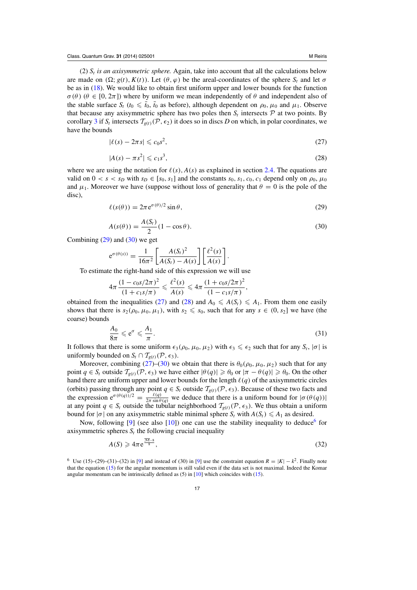<span id="page-16-0"></span>(2)  $S_t$  *is an axisymmetric sphere.* Again, take into account that all the calculations below are made on  $(\Omega; g(t), K(t))$ . Let  $(\theta, \varphi)$  be the areal-coordinates of the sphere  $S_t$  and let  $\sigma$ be as in [\(18\)](#page-8-0). We would like to obtain first uniform upper and lower bounds for the function  $\sigma(\theta)$  ( $\theta \in [0, 2\pi]$ ) where by uniform we mean independently of  $\theta$  and independent also of the stable surface  $S_t$  ( $t_0 \le \bar{t}_0$ ,  $\bar{t}_0$  as before), although dependent on  $\rho_0$ ,  $\mu_0$  and  $\mu_1$ . Observe that because any axisymmetric sphere has two poles then  $S_t$  intersects  $P$  at two points. By corollary [3](#page-10-0) if  $S_t$  intersects  $\mathcal{T}_{g(t)}(\mathcal{P}, \epsilon_2)$  it does so in discs *D* on which, in polar coordinates, we have the bounds

$$
|\ell(s) - 2\pi s| \leqslant c_0 s^2,\tag{27}
$$

$$
|A(s) - \pi s^2| \leqslant c_1 s^3,\tag{28}
$$

where we are using the notation for  $\ell(s)$ ,  $A(s)$  as explained in section [2.4.](#page-8-0) The equations are valid on  $0 < s < s_D$  with  $s_D \in [s_0, s_1]$  and the constants  $s_0, s_1, c_0, c_1$  depend only on  $\rho_0, \mu_0$ and  $\mu_1$ . Moreover we have (suppose without loss of generality that  $\theta = 0$  is the pole of the disc),

$$
\ell(s(\theta)) = 2\pi e^{\sigma(\theta)/2} \sin \theta,\tag{29}
$$

$$
A(s(\theta)) = \frac{A(S_t)}{2}(1 - \cos \theta). \tag{30}
$$

Combining  $(29)$  and  $(30)$  we get

$$
e^{\sigma(\theta(s))} = \frac{1}{16\pi^2} \left[ \frac{A(S_t)^2}{A(S_t) - A(s)} \right] \left[ \frac{\ell^2(s)}{A(s)} \right].
$$

To estimate the right-hand side of this expression we will use

$$
4\pi \frac{(1 - c_0 s/2\pi)^2}{(1 + c_1 s/\pi)} \leq \frac{\ell^2(s)}{A(s)} \leq 4\pi \frac{(1 + c_0 s/2\pi)^2}{(1 - c_1 s/\pi)},
$$

obtained from the inequalities (27) and (28) and  $A_0 \leq A(S_t) \leq A_1$ . From them one easily shows that there is  $s_2(\rho_0, \mu_0, \mu_1)$ , with  $s_2 \leq s_0$ , such that for any  $s \in (0, s_2]$  we have (the coarse) bounds

$$
\frac{A_0}{8\pi} \leqslant e^{\sigma} \leqslant \frac{A_1}{\pi}.\tag{31}
$$

It follows that there is some uniform  $\epsilon_3(\rho_0, \mu_0, \mu_2)$  with  $\epsilon_3 \leq \epsilon_2$  such that for any  $S_t$ ,  $|\sigma|$  is uniformly bounded on  $S_t \cap T_{g(t)}(\mathcal{P}, \epsilon_3)$ .

Moreover, combining (27)–(30) we obtain that there is  $\theta_0(\rho_0, \mu_0, \mu_2)$  such that for any point  $q \in S_t$  outside  $\mathcal{T}_{g(t)}(\mathcal{P}, \epsilon_3)$  we have either  $|\theta(q)| \geq \theta_0$  or  $|\pi - \theta(q)| \geq \theta_0$ . On the other hand there are uniform upper and lower bounds for the length  $\ell(q)$  of the axisymmetric circles (orbits) passing through any point  $q \in S_t$  outside  $\mathcal{T}_{g(t)}(\mathcal{P}, \epsilon_3)$ . Because of these two facts and the expression  $e^{\sigma(\theta(q))/2} = \frac{\ell(q)}{2\pi \sin \theta(q)}$  we deduce that there is a uniform bound for  $|\sigma(\theta(q))|$ at any point  $q \in S_t$  outside the tubular neighborhood  $T_{g(t)}(P, \epsilon_3)$ . We thus obtain a uniform bound for  $|\sigma|$  on any axisymmetric stable minimal sphere  $S_t$  with  $A(S_t) \leq A_1$  as desired.

Now, following  $[9]$  $[9]$  (see also  $[10]$  $[10]$ ) one can use the stability inequality to deduce<sup>6</sup> for axisymmetric spheres  $S_t$  the following crucial inequality

$$
A(S) \geqslant 4\pi e^{\frac{\overline{\mathcal{M}} - 8}{8}},\tag{32}
$$

<sup>&</sup>lt;sup>6</sup> Use (15)–(29)–(31)–(32) in [\[9](#page-28-0)] and instead of (30) in [9] use the constraint equation  $R = |K| - k^2$ . Finally note that the equation [\(15\)](#page-7-0) for the angular momentum is still valid even if the data set is not maximal. Indeed the Komar angular momentum can be intrinsically defined as  $(5)$  in  $[10]$  which coincides with  $(15)$ .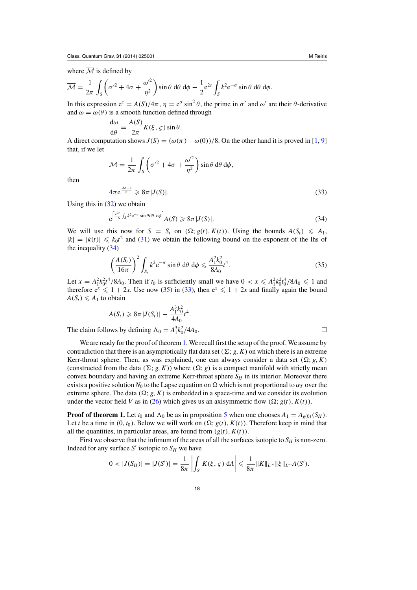where  $\overline{\mathcal{M}}$  is defined by

$$
\overline{\mathcal{M}} = \frac{1}{2\pi} \int_{S} \left( \sigma'^2 + 4\sigma + \frac{\omega'^2}{\eta^2} \right) \sin \theta \, d\theta \, d\phi - \frac{1}{2} e^{2c} \int_{S} k^2 e^{-\sigma} \sin \theta \, d\theta \, d\phi.
$$

In this expression  $e^c = A(S)/4\pi$ ,  $\eta = e^{\sigma} \sin^2 \theta$ , the prime in  $\sigma'$  and  $\omega'$  are their  $\theta$ -derivative and  $\omega = \omega(\theta)$  is a smooth function defined through

$$
\frac{d\omega}{d\theta} = \frac{A(S)}{2\pi} K(\xi, \zeta) \sin \theta.
$$

A direct computation shows  $J(S) = (\omega(\pi) - \omega(0))/8$ . On the other hand it is proved in [\[1,](#page-28-0) [9](#page-28-0)] that, if we let

$$
\mathcal{M} = \frac{1}{2\pi} \int_{S} \left( \sigma'^2 + 4\sigma + \frac{\omega'^2}{\eta^2} \right) \sin \theta \, d\theta \, d\phi,
$$

then

$$
4\pi e^{\frac{\mathcal{M}-8}{8}} \geqslant 8\pi |J(S)|. \tag{33}
$$

Using this in  $(32)$  we obtain

$$
e^{\left[\frac{e^{2c}}{16}\int_{S}k^{2}e^{-\sigma}\sin\theta d\theta\ d\phi\right]}A(S)\geqslant 8\pi|J(S)|.\tag{34}
$$

We will use this now for  $S = S_t$  on  $(\Omega; g(t), K(t))$ . Using the bounds  $A(S_t) \leq A_1$ ,  $|k| = |k(t)| \le k_0 t^2$  and [\(31\)](#page-16-0) we obtain the following bound on the exponent of the lhs of the inequality (34)

$$
\left(\frac{A(S_t)}{16\pi}\right)^2 \int_{S_t} k^2 e^{-\sigma} \sin\theta \,d\theta \,d\phi \leq \frac{A_1^2 k_0^2}{8A_0} t^4.
$$
\n(35)

Let  $x = A_1^2 k_0^2 t^4 / 8A_0$ . Then if  $t_0$  is sufficiently small we have  $0 < x \leq A_1^2 k_0^2 t_0^4 / 8A_0 \leq 1$  and therefore  $e^x \le 1 + 2x$ . Use now (35) in (33), then  $e^x \le 1 + 2x$  and finally again the bound  $A(S_t) \leq A_1$  to obtain

$$
A(S_t) \ge 8\pi |J(S_t)| - \frac{A_1^3 k_0^2}{4A_0} t^4.
$$
  
ows by defining  $\Lambda_0 = A_1^3 k_0^2 / 4A_0$ .

The claim foll  $1^{k}0$ 

We are ready for the proof of theorem [1.](#page-3-0) We recall first the setup of the proof. We assume by contradiction that there is an asymptotically flat data set  $(\Sigma; g, K)$  on which there is an extreme Kerr-throat sphere. Then, as was explained, one can always consider a data set  $(\Omega; g, K)$ (constructed from the data  $(\Sigma; g, K)$ ) where  $(\Omega; g)$  is a compact manifold with strictly mean convex boundary and having an extreme Kerr-throat sphere  $S_H$  in its interior. Moreover there exists a positive solution  $N_0$  to the Lapse equation on  $\Omega$  which is not proportional to  $\alpha_T$  over the extreme sphere. The data  $(\Omega; g, K)$  is embedded in a space-time and we consider its evolution under the vector field *V* as in [\(26\)](#page-15-0) which gives us an axisymmetric flow ( $\Omega$ ; *g*(*t*), *K*(*t*)).

**Proof of theorem 1.** Let  $t_0$  and  $\Lambda_0$  be as in proposition [5](#page-15-0) when one chooses  $A_1 = A_{g(0)}(S_H)$ . Let *t* be a time in  $(0, t_0)$ . Below we will work on  $(\Omega; g(t), K(t))$ . Therefore keep in mind that all the quantities, in particular areas, are found from  $(g(t), K(t))$ .

First we observe that the infimum of the areas of all the surfaces isotopic to  $S_H$  is non-zero. Indeed for any surface  $S'$  isotopic to  $S_H$  we have

$$
0 < |J(S_H)| = |J(S')| = \frac{1}{8\pi} \left| \int_{S'} K(\xi, \varsigma) dA \right| \leq \frac{1}{8\pi} ||K||_{L^{\infty}} ||\xi||_{L^{\infty}} A(S').
$$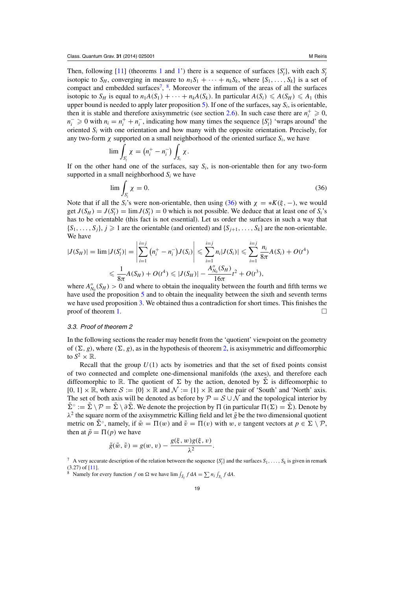<span id="page-18-0"></span>Then, following [\[11](#page-28-0)] (theorems [1](#page-3-0) and [1'](#page-12-0)) there is a sequence of surfaces  $\{S'_l\}$ , with each  $S'_l$ isotopic to  $S_H$ , converging in measure to  $n_1S_1 + \cdots + n_kS_k$ , where  $\{S_1, \ldots, S_k\}$  is a set of compact and embedded surfaces<sup>7</sup>,  $\frac{8}{3}$ . Moreover the infimum of the areas of all the surfaces isotopic to  $S_H$  is equal to  $n_1A(S_1) + \cdots + n_kA(S_k)$ . In particular  $A(S_i) \leq A(S_H) \leq A_1$  (this upper bound is needed to apply later proposition [5\)](#page-15-0). If one of the surfaces, say *Si*, is orientable, then it is stable and therefore axisymmetric (see section [2.6\)](#page-10-0). In such case there are  $n_i^+ \geq 0$ ,  $n_i^- \geq 0$  with  $n_i = n_i^+ + n_i^-$ , indicating how many times the sequence  $\{S'_i\}$  'wraps around' the oriented *Si* with one orientation and how many with the opposite orientation. Precisely, for any two-form  $\chi$  supported on a small neighborhood of the oriented surface  $S_i$ , we have

$$
\lim \int_{S'_i} \chi = (n_i^+ - n_i^-) \int_{S_i} \chi.
$$

If on the other hand one of the surfaces, say  $S_i$ , is non-orientable then for any two-form supported in a small neighborhood *Si* we have

$$
\lim \int_{S'_l} \chi = 0. \tag{36}
$$

Note that if all the *S<sub>i</sub>*'s were non-orientable, then using (36) with  $\chi = *K(\xi, -)$ , we would get  $J(S_H) = J(S'_l) = \lim J(S'_l) = 0$  which is not possible. We deduce that at least one of  $S_i$ 's has to be orientable (this fact is not essential). Let us order the surfaces in such a way that  ${S_1, \ldots, S_j}, j \geq 1$  are the orientable (and oriented) and  ${S_{i+1}, \ldots, S_k}$  are the non-orientable. We have

$$
|J(S_H)| = \lim |J(S'_l)| = \left| \sum_{i=1}^{i=j} (n_i^+ - n_i^-) J(S_i) \right| \leq \sum_{i=1}^{i=j} n_i |J(S_i)| \leq \sum_{i=1}^{i=j} \frac{n_i}{8\pi} A(S_i) + O(t^4)
$$
  

$$
\leq \frac{1}{8\pi} A(S_H) + O(t^4) \leq |J(S_H)| - \frac{A_{N_0}''(S_H)}{16\pi} t^2 + O(t^3),
$$

where  $A''_{N_0}(S_H) > 0$  and where to obtain the inequality between the fourth and fifth terms we have used the proposition [5](#page-15-0) and to obtain the inequality between the sixth and seventh terms we have used proposition [3.](#page-11-0) We obtained thus a contradiction for short times. This finishes the proof of theorem [1.](#page-3-0)  $\Box$ 

## 3.3. Proof of theorem 2

In the following sections the reader may benefit from the 'quotient' viewpoint on the geometry of  $(\Sigma, g)$ , where  $(\Sigma, g)$ , as in the hypothesis of theorem [2,](#page-4-0) is axisymmetric and diffeomorphic to  $S^2 \times \mathbb{R}$ .

Recall that the group  $U(1)$  acts by isometries and that the set of fixed points consist of two connected and complete one-dimensional manifolds (the axes), and therefore each diffeomorphic to R. The quotient of  $\Sigma$  by the action, denoted by  $\Sigma$  is diffeomorphic to  $[0, 1] \times \mathbb{R}$ , where  $\mathcal{S} := \{0\} \times \mathbb{R}$  and  $\mathcal{N} := \{1\} \times \mathbb{R}$  are the pair of 'South' and 'North' axis. The set of both axis will be denoted as before by  $\mathcal{P} = \mathcal{S} \cup \mathcal{N}$  and the topological interior by  $\sum^{\circ} := \sum \setminus \mathcal{P} = \sum \setminus \partial \Sigma$ . We denote the projection by  $\Pi$  (in particular  $\Pi(\Sigma) = \Sigma$ ). Denote by  $\lambda^2$  the square norm of the axisymmetric Killing field and let  $\tilde{g}$  be the two dimensional quotient metric on  $\sum^{\circ}$ , namely, if  $\tilde{w} = \Pi(w)$  and  $\tilde{v} = \Pi(v)$  with w, v tangent vectors at  $p \in \Sigma \setminus \mathcal{P}$ , then at  $\tilde{p} = \Pi(p)$  we have

$$
\tilde{g}(\tilde{w}, \tilde{v}) = g(w, v) - \frac{g(\xi, w)g(\xi, v)}{\lambda^2}.
$$

<sup>&</sup>lt;sup>7</sup> A very accurate description of the relation between the sequence  $\{S'_l\}$  and the surfaces  $S_1, \ldots, S_k$  is given in remark (3.27) of [\[11](#page-28-0)].

<sup>&</sup>lt;sup>8</sup> Namely for every function *f* on  $\Omega$  we have  $\lim_{\delta \to 0} \int_{\delta_i} f \, dA = \sum_{i} n_i \int_{S_i} f \, dA$ .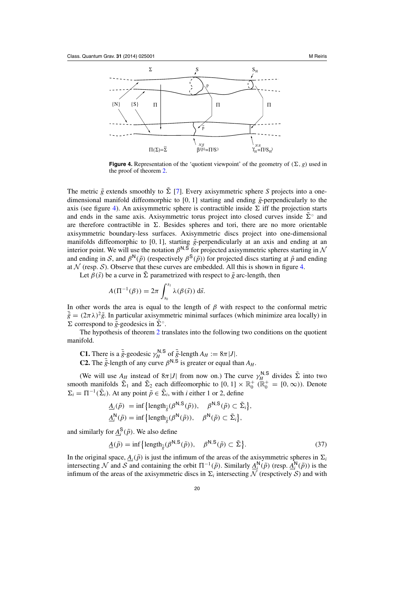<span id="page-19-0"></span>

**Figure 4.** Representation of the 'quotient viewpoint' of the geometry of  $(\Sigma, g)$  used in the proof of theorem [2.](#page-4-0)

The metric  $\tilde{g}$  extends smoothly to  $\tilde{\Sigma}$  [\[7](#page-28-0)]. Every axisymmetric sphere *S* projects into a onedimensional manifold diffeomorphic to  $[0, 1]$  starting and ending  $\tilde{g}$ -perpendicularly to the axis (see figure 4). An axisymmetric sphere is contractible inside  $\Sigma$  iff the projection starts and ends in the same axis. Axisymmetric torus project into closed curves inside  $\Sigma^{\circ}$  and are therefore contractible in  $\Sigma$ . Besides spheres and tori, there are no more orientable axisymmetric boundary-less surfaces. Axisymmetric discs project into one-dimensional manifolds diffeomorphic to [0, 1], starting  $\tilde{g}$ -perpendicularly at an axis and ending at an interior point. We will use the notation  $\beta^{N,S}$  for projected axisymmetric spheres starting in  $\mathcal N$ and ending in S, and  $\beta^{N}(\tilde{p})$  (respectively  $\beta^{S}(\tilde{p})$ ) for projected discs starting at  $\tilde{p}$  and ending at  $\mathcal N$  (resp.  $\mathcal S$ ). Observe that these curves are embedded. All this is shown in figure 4.

Let  $\beta(\tilde{s})$  be a curve in  $\tilde{\Sigma}$  parametrized with respect to  $\tilde{g}$  arc-length, then

$$
A(\Pi^{-1}(\beta)) = 2\pi \int_{s_0}^{s_1} \lambda(\beta(\tilde{s})) \, d\tilde{s}.
$$

In other words the area is equal to the length of  $\beta$  with respect to the conformal metric  $\bar{\tilde{g}} = (2\pi\lambda)^2 \tilde{g}$ . In particular axisymmetric minimal surfaces (which minimize area locally) in  $\Sigma$  correspond to  $\tilde{g}$ -geodesics in  $\Sigma^{\circ}$ .

The hypothesis of theorem [2](#page-4-0) translates into the following two conditions on the quotient manifold.

**C1.** There is a  $\bar{g}$ -geodesic  $\gamma_H^{N,S}$  of  $\bar{g}$ -length  $A_H := 8\pi |J|$ .

**C2.** The  $\bar{\tilde{g}}$ -length of any curve  $\beta^{N,S}$  is greater or equal than  $A_H$ .

(We will use  $A_H$  instead of  $8\pi |J|$  from now on.) The curve  $\gamma_H^{N,S}$  divides  $\tilde{\Sigma}$  into two smooth manifolds  $\Sigma_1$  and  $\Sigma_2$  each diffeomorphic to  $[0, 1] \times \mathbb{R}_0^+$  ( $\mathbb{R}_0^+ = [0, \infty)$ ). Denote  $\Sigma_i = \Pi^{-1}(\tilde{\Sigma}_i)$ . At any point  $\tilde{p} \in \tilde{\Sigma}_i$ , with *i* either 1 or 2, define

$$
\underline{A}_{i}(\tilde{p}) = \inf \{ \text{length}_{\tilde{\tilde{g}}}(\beta^{\mathsf{N},\mathsf{S}}(\tilde{p})), \quad \beta^{\mathsf{N},\mathsf{S}}(\tilde{p}) \subset \tilde{\Sigma}_{i} \},
$$
  

$$
\underline{A}_{i}^{\mathsf{N}}(\tilde{p}) = \inf \{ \text{length}_{\tilde{\tilde{g}}}(\beta^{\mathsf{N}}(\tilde{p})), \quad \beta^{\mathsf{N}}(\tilde{p}) \subset \tilde{\Sigma}_{i} \},
$$

and similarly for  $\underline{A}_{i}^{\mathsf{S}}(\tilde{p})$ . We also define

$$
\underline{A}(\tilde{p}) = \inf \left\{ \text{length}_{\tilde{\tilde{g}}}(\beta^{\mathsf{N}, \mathsf{S}}(\tilde{p})), \quad \beta^{\mathsf{N}, \mathsf{S}}(\tilde{p}) \subset \tilde{\Sigma} \right\}. \tag{37}
$$

In the original space,  $\underline{A}_i(\tilde{p})$  is just the infimum of the areas of the axisymmetric spheres in  $\Sigma_i$ intersecting N and S and containing the orbit  $\Pi^{-1}(\tilde{p})$ . Similarly  $\underline{A}_{i}^{N}(\tilde{p})$  (resp.  $\underline{A}_{i}^{N}(\tilde{p})$ ) is the infimum of the areas of the axisymmetric discs in  $\Sigma_i$  intersecting N (respctively S) and with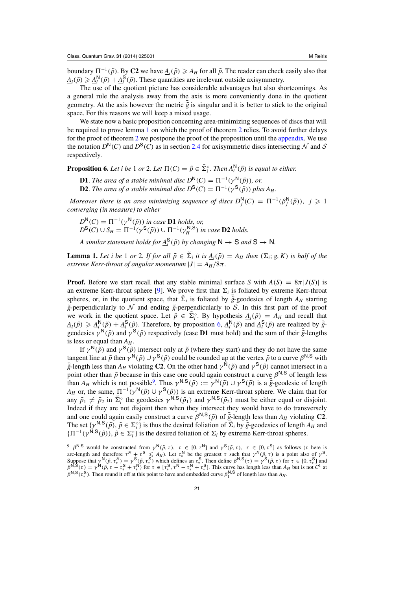<span id="page-20-0"></span>boundary  $\Pi^{-1}(\tilde{p})$ . By **C2** we have  $\underline{A}_i(\tilde{p}) \geq A_H$  for all  $\tilde{p}$ . The reader can check easily also that  $A_i(\tilde{p}) \geq A_i^N(\tilde{p}) + A_i^S(\tilde{p})$ . These quantities are irrelevant outside axisymmetry.

The use of the quotient picture has considerable advantages but also shortcomings. As a general rule the analysis away from the axis is more conveniently done in the quotient geometry. At the axis however the metric  $\tilde{g}$  is singular and it is better to stick to the original space. For this reasons we will keep a mixed usage.

We state now a basic proposition concerning area-minimizing sequences of discs that will be required to prove lemma 1 on which the proof of theorem [2](#page-4-0) relies. To avoid further delays for the proof of theorem [2](#page-4-0) we postpone the proof of the proposition until the [appendix.](#page-23-0) We use the notation  $D^{N}(C)$  and  $D^{S}(C)$  as in section [2.4](#page-8-0) for axisymmetric discs intersecting N and S respectively.

**Proposition 6.** *Let i be* 1 *or* 2*. Let*  $\Pi(C) = \tilde{p} \in \tilde{\Sigma}_i^{\circ}$ *. Then*  $\underline{A}_i^N(\tilde{p})$  *is equal to either.* 

**D1**. *The area of a stable minimal disc*  $D^{N}(C) = \Pi^{-1}(\gamma^{N}(\tilde{p}))$ *, or.* **D2**. *The area of a stable minimal disc*  $D^{S}(C) = \Pi^{-1}(\gamma^{S}(\tilde{p}))$  *plus A<sub>H</sub>*.

*Moreover there is an area minimizing sequence of discs*  $D_j^N(C) = \Pi^{-1}(\beta_j^N(\tilde{p}))$ ,  $j \geq 1$ *converging (in measure) to either*

 $D^{\mathsf{N}}(C) = \Pi^{-1}(\gamma^{\mathsf{N}}(\tilde{p}))$  *in case* **D1** *holds, or,*  $D^{S}(C) \cup S_H = \Pi^{-1}(\gamma^{S}(\tilde{p})) \cup \Pi^{-1}(\gamma_H^{N,S})$  *in case* **D2** *holds.* 

*A* similar statement holds for  $\underline{A}_{i}^{S}(\tilde{p})$  by changing  $N \rightarrow S$  and  $S \rightarrow N$ .

**Lemma 1.** Let *i* be 1 or 2. If for all  $\tilde{p} \in \tilde{\Sigma}_i$  *it is*  $\underline{A}_i(\tilde{p}) = A_H$  then  $(\Sigma_i; g, K)$  *is half of the extreme Kerr-throat of angular momentum*  $|J| = A_H/8\pi$ .

**Proof.** Before we start recall that any stable minimal surface *S* with  $A(S) = 8\pi |J(S)|$  is an extreme Kerr-throat sphere [\[9\]](#page-28-0). We prove first that  $\Sigma_i$  is foliated by extreme Kerr-throat spheres, or, in the quotient space, that  $\Sigma_i$  is foliated by  $\tilde{g}$ -geodesics of length  $A_H$  starting  $\tilde{g}$ -perpendicularly to  $\mathcal N$  and ending  $\tilde{g}$ -perpendicularly to S. In this first part of the proof we work in the quotient space. Let  $\tilde{p} \in \Sigma_i^{\circ}$ . By hypothesis  $\underline{A}_i(\tilde{p}) = A_H$  and recall that  $A_i(\tilde{p}) \geq A_i^N(\tilde{p}) + A_i^S(\tilde{p})$ . Therefore, by proposition 6,  $A_i^N(\tilde{p})$  and  $A_i^S(\tilde{p})$  are realized by  $\tilde{g}$ geodesics  $\gamma^N(\tilde{p})$  and  $\gamma^S(\tilde{p})$  respectively (case **D1** must hold) and the sum of their  $\bar{\tilde{g}}$ -lengths is less or equal than  $A_H$ .

If  $\gamma^N(\tilde{p})$  and  $\gamma^S(\tilde{p})$  intersect only at  $\tilde{p}$  (where they start) and they do not have the same tangent line at  $\tilde{p}$  then  $\gamma^N(\tilde{p}) \cup \gamma^S(\tilde{p})$  could be rounded up at the vertex  $\tilde{p}$  to a curve  $\beta$ tangent line at  $\tilde{p}$  then  $\gamma^N(\tilde{p}) \cup \gamma^S(\tilde{p})$  could be rounded up at the vertex  $\tilde{p}$  to a curve  $\beta^{N,S}$  with  $\tilde{g}$ -length less than  $A_H$  violating **C2**. On the other hand  $\gamma^N(\tilde{p})$  and  $\gamma^S(\tilde{p})$  can point other than  $\tilde{p}$  because in this case one could again construct a curve  $\beta^{N,S}$  of length less than  $A_H$  which is not possible<sup>9</sup>. Thus  $\gamma^{N,S}(\tilde{p}) := \gamma^N(\tilde{p}) \cup \gamma^S(\tilde{p})$  is a  $\tilde{g}$ -geodesic of length *A<sub>H</sub>* or, the same,  $\Pi^{-1}(\gamma^N(\tilde{p}) \cup \gamma^S(\tilde{p}))$  is an extreme Kerr-throat sphere. We claim that for any  $\tilde{p}_1 \neq \tilde{p}_2$  in  $\tilde{\Sigma}_i^{\circ}$  the geodesics  $\gamma^{N,S}(\tilde{p}_1)$  and  $\gamma^{N,S}(\tilde{p}_2)$  must be either equal or disjoint. Indeed if they are not disjoint then when they intersect they would have to do transversely and one could again easily construct a curve  $\beta^{N,S}(\tilde{p})$  of  $\tilde{g}$ -length less than  $A_H$  violating **C2**. The set  $\{ \gamma^{N,S}(\tilde{p}), \tilde{p} \in \Sigma_i^{\circ} \}$  is thus the desired foliation of  $\tilde{\Sigma}_i$  by  $\tilde{g}$ -geodesics of length  $A_H$  and  ${\{\Pi^{-1}(\gamma^{N,S}(\tilde{p})), \tilde{p} \in \Sigma_i^{\circ}\}\$  is the desired foliation of  $\Sigma_i$  by extreme Kerr-throat spheres.

<sup>&</sup>lt;sup>9</sup> β<sup>N,S</sup> would be constructed from  $\gamma^{N}(\tilde{p}, \tau)$ ,  $\tau \in [0, \tau^{N}]$  and  $\gamma^{S}(\tilde{p}, \tau)$ ,  $\tau \in [0, \tau^{S}]$  as follows (τ here is arc-length and therefore  $\tau^N + \tau^S \leq A_H$ ). Let  $\tau_*^N$  be the greatest  $\tau$  such that  $\gamma^N(\tilde{p}, \tau)$  is a point also of  $\gamma^S$ . Suppose that  $\gamma^{N}(\tilde{p}, \tau^{N}) = \gamma^{S}(\tilde{p}, \tau^{S})$  which defines an  $\tau^{S}$ . Then define  $\beta^{N,S}(\tau) = \gamma^{S}(\tilde{p}, \tau)$  for  $\tau \in [0, \tau^{S}]$  and  $\beta^{N,S}(\tau) = \gamma^{S}(\tilde{p}, \tau)$  $\beta^{N,S}(\tau) = \gamma^N(\tilde{p}, \tau - \tau_*^S + \tau_*^N)$  for  $\tau \in [\tau_*^S, \tau^N - \tau_*^N + \tau_*^S]$ . This curve has length less than  $A_H$  but is not  $C^1$  at  $\beta^{N,S}(\tau_*^S)$ . Then round it off at this point to have and embedded curve  $\beta_1^{N,S}$  of le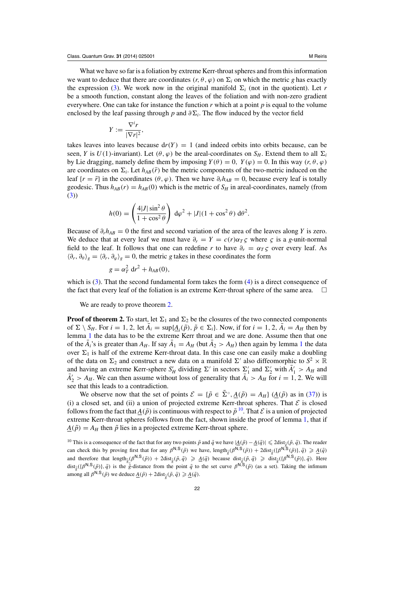What we have so far is a foliation by extreme Kerr-throat spheres and from this information we want to deduce that there are coordinates  $(r, \theta, \varphi)$  on  $\Sigma_i$  on which the metric *g* has exactly the expression [\(3\)](#page-2-0). We work now in the original manifold  $\Sigma_i$  (not in the quotient). Let *r* be a smooth function, constant along the leaves of the foliation and with non-zero gradient everywhere. One can take for instance the function *r* which at a point *p* is equal to the volume enclosed by the leaf passing through *p* and  $\partial \Sigma_i$ . The flow induced by the vector field

$$
Y := \frac{\nabla^i r}{|\nabla r|^2},
$$

takes leaves into leaves because  $dr(Y) = 1$  (and indeed orbits into orbits because, can be seen, *Y* is  $U(1)$ -invariant). Let  $(\theta, \varphi)$  be the areal-coordinates on  $S_H$ . Extend them to all  $\Sigma_i$ by Lie dragging, namely define them by imposing  $Y(\theta) = 0$ ,  $Y(\varphi) = 0$ . In this way  $(r, \theta, \varphi)$ are coordinates on  $\Sigma_i$ . Let  $h_{AB}(\vec{r})$  be the metric components of the two-metric induced on the leaf  $\{r = \bar{r}\}\$ in the coordinates  $(\theta, \varphi)$ . Then we have  $\partial_r h_{AB} = 0$ , because every leaf is totally geodesic. Thus  $h_{AB}(r) = h_{AB}(0)$  which is the metric of  $S_H$  in areal-coordinates, namely (from [\(3\)](#page-2-0))

$$
h(0) = \left(\frac{4|J|\sin^2\theta}{1+\cos^2\theta}\right) d\varphi^2 + |J|(1+\cos^2\theta) d\theta^2.
$$

Because of  $\partial_r h_{AB} = 0$  the first and second variation of the area of the leaves along *Y* is zero. We deduce that at every leaf we must have  $\partial_r = Y = c(r) \alpha_T \zeta$  where  $\zeta$  is a *g*-unit-normal field to the leaf. It follows that one can redefine *r* to have  $\partial_r = \alpha_T \zeta$  over every leaf. As  $\langle \partial_r, \partial_\theta \rangle_g = \langle \partial_r, \partial_\omega \rangle_g = 0$ , the metric *g* takes in these coordinates the form

$$
g = \alpha_T^2 dr^2 + h_{AB}(0),
$$

which is [\(3\)](#page-2-0). That the second fundamental form takes the form [\(4\)](#page-2-0) is a direct consequence of the fact that every leaf of the foliation is an extreme Kerr-throat sphere of the same area.  $\Box$ 

We are ready to prove theorem [2.](#page-4-0)

**Proof of theorem 2.** To start, let  $\Sigma_1$  and  $\Sigma_2$  be the closures of the two connected components of  $\Sigma \setminus S_H$ . For  $i = 1, 2$ , let  $A_i = \sup\{A_i(\tilde{p}), \tilde{p} \in \Sigma_i\}$ . Now, if for  $i = 1, 2, A_i = A_H$  then by lemma [1](#page-20-0) the data has to be the extreme Kerr throat and we are done. Assume then that one of the  $A_i$ 's is greater than  $A_H$ . If say  $A_1 = A_H$  $A_1 = A_H$  $A_1 = A_H$  (but  $A_2 > A_H$ ) then again by lemma 1 the data over  $\Sigma_1$  is half of the extreme Kerr-throat data. In this case one can easily make a doubling of the data on  $\Sigma_2$  and construct a new data on a manifold  $\Sigma'$  also diffeomorphic to  $S^2 \times \mathbb{R}$ and having an extreme Kerr-sphere  $S'_H$  dividing  $\Sigma'$  in sectors  $\Sigma'_1$  and  $\Sigma'_2$  with  $A'_1 > A_H$  and  $A'_2 > A_H$ . We can then assume without loss of generality that  $A_i > A_H$  for  $i = 1, 2$ . We will see that this leads to a contradiction.

We observe now that the set of points  $\mathcal{E} = \{\tilde{p} \in \tilde{\Sigma}^{\circ}, \underline{A}(\tilde{p}) = A_H\}$  ( $\underline{A}(\tilde{p})$  as in [\(37\)](#page-19-0)) is (i) a closed set, and (ii) a union of projected extreme Kerr-throat spheres. That  $\mathcal E$  is closed follows from the fact that  $A(\tilde{p})$  is continuous with respect to  $\tilde{p}^{10}$ . That  $\mathcal E$  is a union of projected extreme Kerr-throat spheres follows from the fact, shown inside the proof of lemma [1,](#page-20-0) that if  $A(\tilde{p}) = A_H$  then  $\tilde{p}$  lies in a projected extreme Kerr-throat sphere.

<sup>10</sup> This is a consequence of the fact that for any two points  $\tilde{p}$  and  $\tilde{q}$  we have  $|\underline{A}(\tilde{p}) - \underline{A}(\tilde{q})| \leq 2\text{dist}_{\tilde{q}}(\tilde{p}, \tilde{q})$ . The reader can check this by proving first that for any  $\beta^{N,S}(\tilde{p})$  we have,  $\text{length}_{\tilde{g}}(\beta^{N,S}(\tilde{p})) + 2\text{dist}_{\tilde{g}}(\{\beta^{N,S}(\tilde{p})\}, \tilde{q}) \ge \underline{A}(\tilde{q})$ and therefore that  $\text{length}_{\bar{g}}(\beta^{\mathsf{N},\mathsf{S}}(\tilde{p})) + 2\text{dist}_{\bar{g}}(\tilde{p},\tilde{q}) \geq \underline{A}(\tilde{q})$  because  $\text{dist}_{\bar{g}}(\tilde{p},\tilde{q}) \geq \text{dist}_{\bar{g}}(\{\beta^{\mathsf{N},\mathsf{S}}(\tilde{p})\},\tilde{q})$ . Here dist<sub> $\bar{g}$ </sub>({ $\beta$ <sup>N,S</sup>( $\tilde{p}$ )},  $\tilde{q}$ ) is the  $\bar{g}$ -distance from the point  $\tilde{q}$  to the set curve  $\beta$ <sup>N,S</sup>( $\tilde{p}$ ) (as a set). Taking the infimum among all  $\beta^{N,S}(\tilde{p})$  we deduce  $\underline{A}(\tilde{p}) + 2 \text{dist}_{\tilde{\tilde{g}}}(\tilde{p}, \tilde{q}) \ge \underline{A}(\tilde{q})$ .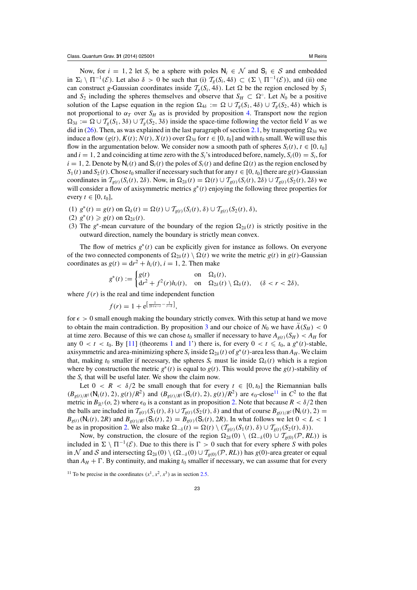Now, for  $i = 1, 2$  let  $S_i$  be a sphere with poles  $N_i \in \mathcal{N}$  and  $S_i \in \mathcal{S}$  and embedded in  $\Sigma_i \setminus \Pi^{-1}(\mathcal{E})$ . Let also  $\delta > 0$  be such that (i)  $\mathcal{T}_g(S_i, 4\delta) \subset (\Sigma \setminus \Pi^{-1}(\mathcal{E}))$ , and (ii) one can construct *g*-Gaussian coordinates inside  $\mathcal{T}_g(S_i, 4\delta)$ . Let  $\Omega$  be the region enclosed by  $S_1$ and  $S_2$  including the spheres themselves and observe that  $S_H \subset \Omega^\circ$ . Let  $N_0$  be a positive solution of the Lapse equation in the region  $\Omega_{4\delta} := \Omega \cup \mathcal{T}_g(S_1, 4\delta) \cup \mathcal{T}_g(S_2, 4\delta)$  which is not proportional to  $\alpha_T$  over  $S_H$  as is provided by proposition [4.](#page-13-0) Transport now the region  $\Omega_{3\delta} := \Omega \cup T_g(S_1, 3\delta) \cup T_g(S_2, 3\delta)$  inside the space-time following the vector field *V* as we did in [\(26\)](#page-15-0). Then, as was explained in the last paragraph of section [2.1,](#page-6-0) by transporting  $\Omega_{3\delta}$  we induce a flow  $(g(t), K(t); N(t), X(t))$  over  $\Omega_{3\delta}$  for  $t \in [0, t_0]$  and with  $t_0$  small. We will use this flow in the argumentation below. We consider now a smooth path of spheres  $S_i(t)$ ,  $t \in [0, t_0]$ and  $i = 1, 2$  and coinciding at time zero with the  $S_i$ 's introduced before, namely,  $S_i(0) = S_i$ , for  $i = 1, 2$ . Denote by  $N_i(t)$  and  $S_i(t)$  the poles of  $S_i(t)$  and define  $\Omega(t)$  as the region enclosed by  $S_1(t)$  and  $S_2(t)$ . Chose  $t_0$  smaller if necessary such that for any  $t \in [0, t_0]$  there are  $g(t)$ -Gaussian coordinates in  $\mathcal{T}_{g(t)}(S_i(t), 2\delta)$ . Now, in  $\Omega_{2\delta}(t) = \Omega(t) \cup \mathcal{T}_{g(t)}(S_i(t), 2\delta) \cup \mathcal{T}_{g(t)}(S_2(t), 2\delta)$  we will consider a flow of axisymmetric metrics *g*∗(*t*) enjoying the following three properties for every  $t \in [0, t_0]$ ,

- (1)  $g^*(t) = g(t)$  on  $\Omega_{\delta}(t) = \Omega(t) \cup \mathcal{T}_{g(t)}(S_i(t), \delta) \cup \mathcal{T}_{g(t)}(S_2(t), \delta),$
- $(2)$   $g^*(t) \geq g(t)$  on  $\Omega_{2\delta}(t)$ .
- (3) The  $g^*$ -mean curvature of the boundary of the region  $\Omega_{2\delta}(t)$  is strictly positive in the outward direction, namely the boundary is strictly mean convex.

The flow of metrics *g*∗(*t*) can be explicitly given for instance as follows. On everyone of the two connected components of  $\Omega_{2\delta}(t) \setminus \Omega(t)$  we write the metric  $g(t)$  in  $g(t)$ -Gaussian coordinates as  $g(t) = dr^2 + h_i(t)$ ,  $i = 1, 2$ . Then make

$$
g^*(t) := \begin{cases} g(t) & \text{on } \Omega_\delta(t), \\ dr^2 + f^2(r)h_i(t), & \text{on } \Omega_{2\delta}(t) \setminus \Omega_\delta(t), \quad (\delta < r < 2\delta), \end{cases}
$$

where  $f(r)$  is the real and time independent function

$$
f(r) = 1 + e^{\left[\frac{1}{2\delta + \epsilon - r} - \frac{1}{r - \delta}\right]},
$$

for  $\epsilon > 0$  small enough making the boundary strictly convex. With this setup at hand we move to obtain the main contradiction. By proposition [3](#page-11-0) and our choice of  $N_0$  we have  $\hat{A}(S_H) < 0$ at time zero. Because of this we can chose  $t_0$  smaller if necessary to have  $A_{g(t)}(S_H) < A_H$  for any  $0 < t < t_0$ . By [\[11\]](#page-28-0) (theorems [1](#page-3-0) and [1'](#page-12-0)) there is, for every  $0 < t \leq t_0$ , a  $g^*(t)$ -stable, axisymmetric and area-minimizing sphere  $S_t$  inside  $\Omega_{2\delta}(t)$  of  $g^*(t)$ -area less than  $A_H$ . We claim that, making  $t_0$  smaller if necessary, the spheres  $S_t$  must lie inside  $\Omega_\delta(t)$  which is a region where by construction the metric  $g^*(t)$  is equal to  $g(t)$ . This would prove the  $g(t)$ -stability of the  $S_t$  that will be useful later. We show the claim now.

Let  $0 < R < \delta/2$  be small enough that for every  $t \in [0, t_0]$  the Riemannian balls  $(B_{g(t)/R^2}(N_i(t), 2), g(t)/R^2)$  and  $(B_{g(t)/R^2}(S_i(t), 2), g(t)/R^2)$  are  $\epsilon_0$ -close<sup>11</sup> in  $C^2$  to the flat metric in  $B_{\mathbb{R}^3}(0, 2)$  where  $\epsilon_0$  is a constant as in proposition [2.](#page-10-0) Note that because  $R < \delta/2$  then the balls are included in  $T_{g(t)}(S_1(t), \delta) \cup T_{g(t)}(S_2(t), \delta)$  and that of course  $B_{g(t)/R^2}(N_i(t), 2) =$  $B_{g(t)}(\mathsf{N}_i(t), 2R)$  and  $B_{g(t)/R^2}(\mathsf{S}_i(t), 2) = B_{g(t)}(\mathsf{S}_i(t), 2R)$ . In what follows we let  $0 < L < 1$ be as in proposition [2.](#page-10-0) We also make  $\Omega_{-\delta}(t) = \Omega(t) \setminus (\mathcal{T}_{g(t)}(S_1(t), \delta) \cup \mathcal{T}_{g(t)}(S_2(t), \delta)).$ 

Now, by construction, the closure of the region  $\Omega_{2\delta}(0) \setminus (\Omega_{-\delta}(0) \cup \mathcal{T}_{g(0)}(\mathcal{P}, R_L))$  is included in  $\Sigma \setminus \Pi^{-1}(\mathcal{E})$ . Due to this there is  $\Gamma > 0$  such that for every sphere *S* with poles in N and S and intersecting  $\Omega_{2\delta}(0) \setminus (\Omega_{-\delta}(0) \cup \mathcal{T}_{g(0)}(\mathcal{P}, RL))$  has  $g(0)$ -area greater or equal than  $A_H + \Gamma$ . By continuity, and making  $t_0$  smaller if necessary, we can assume that for every

<sup>&</sup>lt;sup>11</sup> To be precise in the coordinates  $(x^1, x^2, x^3)$  as in section [2.5.](#page-9-0)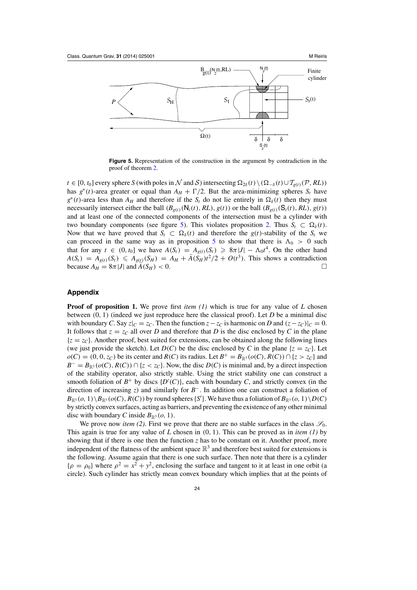<span id="page-23-0"></span>

**Figure 5.** Representation of the construction in the argument by contradiction in the proof of theorem [2.](#page-4-0)

*t* ∈ [0, *t*<sub>0</sub>] every sphere *S* (with poles in N and S) intersecting  $\Omega_{2\delta}(t) \setminus (\Omega_{-\delta}(t) \cup T_{g(t)}(\mathcal{P}, RL))$ has  $g^*(t)$ -area greater or equal than  $A_H + \Gamma/2$ . But the area-minimizing spheres  $S_t$  have  $g^*(t)$ -area less than  $A_H$  and therefore if the  $S_t$  do not lie entirely in  $\Omega_\delta(t)$  then they must necessarily intersect either the ball  $(B_{g(t)}(N_i(t), RL), g(t))$  or the ball  $(B_{g(t)}(S_i(t), RL), g(t))$ and at least one of the connected components of the intersection must be a cylinder with two boundary components (see figure 5). This violates proposition [2.](#page-10-0) Thus  $S_t \subset \Omega_\delta(t)$ . Now that we have proved that  $S_t \subset \Omega_\delta(t)$  and therefore the  $g(t)$ -stability of the  $S_t$  we can proceed in the same way as in proposition [5](#page-15-0) to show that there is  $\Lambda_0 > 0$  such that for any  $t \in (0, t_0]$  we have  $A(S_t) = A_{g(t)}(S_t) \geq 8\pi |J| - \Lambda_0 t^4$ . On the other hand  $A(S_t) = A_{g(t)}(S_t) \leq A_{g(t)}(S_H) = A_H + \ddot{A}(S_H)t^2/2 + O(t^3)$ . This shows a contradiction because  $A_H = 8\pi |J|$  and  $A(S_H) < 0$ .

## **Appendix**

**Proof of proposition 1.** We prove first *item* (1) which is true for any value of L chosen between (0, 1) (indeed we just reproduce here the classical proof). Let *D* be a minimal disc with boundary *C*. Say  $z|_C = z_C$ . Then the function  $z - z_C$  is harmonic on *D* and  $(z - z_C)|_C = 0$ . It follows that  $z = z_c$  all over *D* and therefore that *D* is the disc enclosed by *C* in the plane  ${z = z<sub>C</sub>}$ . Another proof, best suited for extensions, can be obtained along the following lines (we just provide the sketch). Let  $D(C)$  be the disc enclosed by *C* in the plane { $z = z<sub>C</sub>$ }. Let *o*(*C*) = (0, 0, *z<sub>C</sub>*) be its center and *R*(*C*) its radius. Let *B*<sup>+</sup> = *B*<sub>ℝ3</sub> (*o*(*C*), *R*(*C*)) ∩ {*z* > *z<sub>C</sub>*} and  $B^{-} = B_{\mathbb{R}^{3}}(o(C), R(C)) \cap \{z < z_{C}\}\.$  Now, the disc *D(C)* is minimal and, by a direct inspection of the stability operator, also strictly stable. Using the strict stability one can construct a smooth foliation of  $B^+$  by discs  $\{D'(C)\}\)$ , each with boundary *C*, and strictly convex (in the direction of increasing *z*) and similarly for *B*−. In addition one can construct a foliation of  $B_{\mathbb{R}^3}(o, 1) \setminus B_{\mathbb{R}^3}(o(C), R(C))$  by round spheres {*S'*}. We have thus a foliation of  $B_{\mathbb{R}^3}(o, 1) \setminus D(C)$ by strictly convex surfaces, acting as barriers, and preventing the existence of any other minimal disc with boundary *C* inside  $B_{\mathbb{R}^3}(o, 1)$ .

We prove now *item (2)*. First we prove that there are no stable surfaces in the class  $\mathscr{S}_0$ . This again is true for any value of *L* chosen in (0, 1). This can be proved as in *item (1)* by showing that if there is one then the function  $z$  has to be constant on it. Another proof, more independent of the flatness of the ambient space  $\mathbb{R}^3$  and therefore best suited for extensions is the following. Assume again that there is one such surface. Then note that there is a cylinder  ${\rho = \rho_0}$  where  ${\rho}^2 = x^2 + y^2$ , enclosing the surface and tangent to it at least in one orbit (a circle). Such cylinder has strictly mean convex boundary which implies that at the points of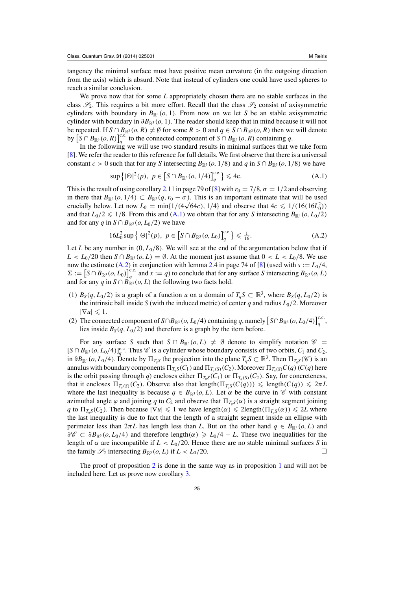tangency the minimal surface must have positive mean curvature (in the outgoing direction from the axis) which is absurd. Note that instead of cylinders one could have used spheres to reach a similar conclusion.

We prove now that for some *L* appropriately chosen there are no stable surfaces in the class  $\mathscr{S}_2$ . This requires a bit more effort. Recall that the class  $\mathscr{S}_2$  consist of axisymmetric cylinders with boundary in  $B_{\mathbb{R}^3}$  (*o*, 1). From now on we let *S* be an stable axisymmetric cylinder with boundary in  $\partial B_{\mathbb{R}^3}(o, 1)$ . The reader should keep that in mind because it will not be repeated. If  $S \cap B_{\mathbb{R}^3}(o, R) \neq \emptyset$  for some  $R > 0$  and  $q \in S \cap B_{\mathbb{R}^3}(o, R)$  then we will denote by  $[S \cap B_{\mathbb{R}^3}(o, R)]_q^{c.c.}$  to the connected component of  $S \cap B_{\mathbb{R}^3}(o, R)$  containing *q*.

In the following we will use two standard results in minimal surfaces that we take form [\[8](#page-28-0)]. We refer the reader to this reference for full details. We first observe that there is a universal constant *c* > 0 such that for any *S* intersecting  $B_{\mathbb{R}^3}(o, 1/8)$  and *q* in  $S \cap B_{\mathbb{R}^3}(o, 1/8)$  we have

$$
\sup\left\{|\Theta|^2(p), \ p \in \left[S \cap B_{\mathbb{R}^3}(o, 1/4)\right]_q^{c.c.}\right\} \leq 4c. \tag{A.1}
$$

This is the result of using corollary [2.](#page-4-0)11 in page 79 of [\[8\]](#page-28-0) with  $r_0 = 7/8$ ,  $\sigma = 1/2$  and observing in there that  $B_{\mathbb{R}^3}(o, 1/4) \subset B_{\mathbb{R}^3}(q, r_0 - \sigma)$ . This is an important estimate that will be used crucially below. Let now  $L_0 = \min\{1/(4\sqrt{64c})$ , 1/4) and observe that  $4c \le 1/(16(16L_0^2))$ and that  $L_0/2 \leq 1/8$ . From this and  $(A.1)$  we obtain that for any *S* intersecting  $B_{\mathbb{R}^3}(o, L_0/2)$ and for any *q* in  $S \cap B_{\mathbb{R}^3}(o, L_0/2)$  we have

$$
16L_0^2 \sup \left\{ |\Theta|^2(p), \ p \in \left[ S \cap B_{\mathbb{R}^3}(o, L_0) \right]_q^{c.c.} \right\} \leq \frac{1}{16}.
$$
 (A.2)

Let *L* be any number in  $(0, L_0/8)$ . We will see at the end of the argumentation below that if  $L < L_0/20$  then  $S \cap B_{\mathbb{R}^3}(o, L) = \emptyset$ . At the moment just assume that  $0 < L < L_0/8$ . We use now the estimate  $(A.2)$  in conjunction with lemma [2.](#page-13-0)4 in page 74 of [\[8](#page-28-0)] (used with  $s := L_0/4$ ,  $\Sigma := [S \cap B_{\mathbb{R}^3}(o, L_0)]_q^{c.c.}$  and  $x := q$ ) to conclude that for any surface *S* intersecting  $B_{\mathbb{R}^3}(o, L)$ and for any *q* in  $S \cap B_{\mathbb{R}^3}^2(o, L)$  the following two facts hold.

- (1)  $B_S(q, L_0/2)$  is a graph of a function *u* on a domain of  $T_qS \subset \mathbb{R}^3$ , where  $B_S(q, L_0/2)$  is the intrinsic ball inside *S* (with the induced metric) of center *q* and radius  $L_0/2$ . Moreover  $|\nabla u| \leq 1.$
- (2) The connected component of *S*∩*B*<sub>ℝ</sub>3 (*o*, *L*<sub>0</sub>/4) containing *q*, namely  $\left[S \cap B_{\mathbb{R}^3}(o, L_0/4)\right]_q^{c.c.}$ lies inside  $B_S(q, L_0/2)$  and therefore is a graph by the item before.

For any surface *S* such that  $S \cap B_{\mathbb{R}^3}(o, L) \neq \emptyset$  denote to simplify notation  $\mathscr{C} =$  $[S \cap B_{\mathbb{R}^3}(o, L_0/4)]_q^c$ . Thus *C* is a cylinder whose boundary consists of two orbits, *C*<sub>1</sub> and *C*<sub>2</sub>, in  $\partial B_{\mathbb{R}^3}(o, L_0/4)$ . Denote by  $\Pi_{T_qS}$  the projection into the plane  $T_qS \subset \mathbb{R}^3$ . Then  $\Pi_{T_qS}(\mathscr{C})$  is an annulus with boundary components  $\Pi_{T_qS}(C_1)$  and  $\Pi_{T_q(S)}(C_2)$ . Moreover  $\Pi_{T_q(S)}C(q)(C(q))$  here is the orbit passing through *q*) encloses either  $\Pi_{T_qS}(C_1)$  or  $\Pi_{T_q(S)}(C_2)$ . Say, for concreteness, that it encloses  $\Pi_{T_q(S)}(C_2)$ . Observe also that length $(\Pi_{T_q(S)}(C(q))) \leq \text{length}(C(q)) \leq 2\pi L$ where the last inequality is because  $q \in B_{\mathbb{R}^3}(o, L)$ . Let  $\alpha$  be the curve in  $\mathscr{C}$  with constant azimuthal angle  $\varphi$  and joining q to  $C_2$  and observe that  $\Pi_{T_qS}(\alpha)$  is a straight segment joining *q* to  $\Pi_{T_sS}(C_2)$ . Then because  $|\nabla u| \leq 1$  we have length $(\alpha) \leq 2$ length $(\Pi_{T_sS}(\alpha)) \leq 2L$  where the last inequality is due to fact that the length of a straight segment inside an ellipse with perimeter less than  $2\pi L$  has length less than *L*. But on the other hand  $q \in B_{\mathbb{R}^3}(o, L)$  and  $\partial \mathscr{C} \subset \partial B_{\mathbb{R}^3}(o, L_0/4)$  and therefore length( $\alpha$ )  $\ge L_0/4 - L$ . These two inequalities for the length of  $\alpha$  are incompatible if  $L < L_0/20$ . Hence there are no stable minimal surfaces *S* in the family  $\mathscr{S}_2$  intersecting  $B_{\mathbb{R}^3}(o, L)$  if  $L < L_0/20$ .

The proof of proposition [2](#page-10-0) is done in the same way as in proposition [1](#page-10-0) and will not be included here. Let us prove now corollary [3.](#page-10-0)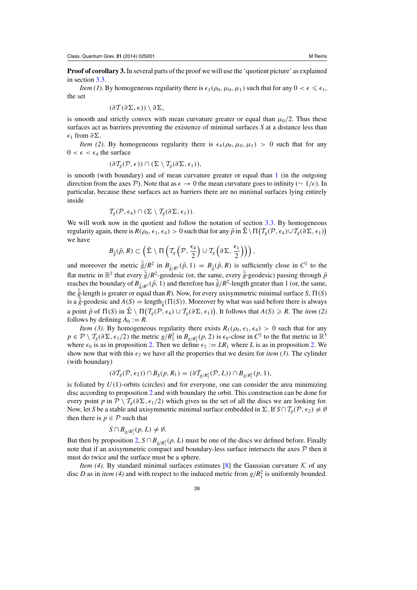**Proof of corollary 3.** In several parts of the proof we will use the 'quotient picture' as explained in section [3.3.](#page-18-0)

*Item (1)*. By homogeneous regularity there is  $\epsilon_1(\rho_0, \mu_0, \mu_1)$  such that for any  $0 < \epsilon \leq \epsilon_1$ , the set

$$
(\partial \mathcal{T}(\partial \Sigma, \epsilon)) \setminus \partial \Sigma,
$$

is smooth and strictly convex with mean curvature greater or equal than  $\mu_0/2$ . Thus these surfaces act as barriers preventing the existence of minimal surfaces *S* at a distance less than  $\epsilon_1$  from  $\partial \Sigma$ .

*Item (2)*. By homogeneous regularity there is  $\epsilon_4(\rho_0, \mu_0, \mu_1) > 0$  such that for any  $0 < \epsilon < \epsilon_4$  the surface

$$
(\partial \mathcal{T}_g(\mathcal{P}, \epsilon)) \cap (\Sigma \setminus \mathcal{T}_g(\partial \Sigma, \epsilon_1)),
$$

is smooth (with boundary) and of mean curvature greater or equal than  $1$  (in the outgoing direction from the axes  $\mathcal{P}$ ). Note that as  $\epsilon \to 0$  the mean curvature goes to infinity (∼ 1/ $\epsilon$ ). In particular, because these surfaces act as barriers there are no minimal surfaces lying entirely inside

$$
\mathcal{T}_g(\mathcal{P}, \epsilon_4) \cap (\Sigma \setminus \mathcal{T}_g(\partial \Sigma, \epsilon_1)).
$$

We will work now in the quotient and follow the notation of section [3.3.](#page-18-0) By homogeneous regularity again, there is  $R(\rho_0, \epsilon_1, \epsilon_4) > 0$  such that for any  $\tilde{p}$  in  $\tilde{\Sigma} \setminus \Pi\big( \mathcal{T}_g(\mathcal{P}, \epsilon_4) \cup \mathcal{T}_g(\partial \Sigma, \epsilon_1) \big)$ we have

$$
B_{\tilde{g}}(\tilde{p},R) \subset \left(\tilde{\Sigma}\setminus\Pi\left(\mathcal{T}_g\left(\mathcal{P},\frac{\epsilon_4}{2}\right)\cup\mathcal{T}_g\left(\partial\Sigma,\frac{\epsilon_1}{2}\right)\right)\right),\
$$

and moreover the metric  $\bar{\tilde{g}}/R^2$  in  $B_{\bar{\tilde{g}}/R^2}(\tilde{p}, 1) = B_{\bar{\tilde{g}}}(\tilde{p}, R)$  is sufficiently close in  $C^2$  to the flat metric in  $\mathbb{R}^2$  that every  $\bar{\tilde{g}}/R^2$ -geodesic (or, the same, every  $\bar{\tilde{g}}$ -geodesic) passing through  $\tilde{p}$ reaches the boundary of  $B_{\bar{\tilde{g}}/R^2}(\tilde{p}, 1)$  and therefore has  $\bar{\tilde{g}}/R^2$ -length greater than 1 (or, the same, the  $\tilde{g}$ -length is greater or equal than *R*). Now, for every axisymmetric minimal surface *S*,  $\Pi(S)$ is a  $\tilde{g}$ -geodesic and  $A(S) = \text{length}_{\tilde{g}}(\Pi(S))$ . Moreover by what was said before there is always a point  $\tilde{p}$  of  $\Pi(S)$  in  $\tilde{\Sigma} \setminus \Pi(\mathcal{T}_g(\mathcal{P}, \epsilon_4) \cup \mathcal{T}_g(\partial \Sigma, \epsilon_1))$ . It follows that  $A(S) \ge R$ . The *item* (2) follows by defining  $A_0 := R$ .

*Item (3)*. By homogeneous regularity there exists  $R_1(\rho_0, \epsilon_1, \epsilon_4) > 0$  such that for any  $p \in \mathcal{P} \setminus \mathcal{T}_g(\partial \Sigma, \epsilon_1/2)$  the metric  $g/R_1^2$  in  $B_{g/R_1^2}(p, 2)$  is  $\epsilon_0$ -close in  $C^2$  to the flat metric in  $\mathbb{R}^3$ where  $\epsilon_0$  is as in proposition [2.](#page-10-0) Then we define  $\epsilon_2 := LR_1$  where *L* is as in proposition 2. We show now that with this  $\epsilon_2$  we have all the properties that we desire for *item* (3). The cylinder (with boundary)

$$
(\partial \mathcal{T}_g(\mathcal{P}, \epsilon_2)) \cap B_g(p, R_1) = (\partial \mathcal{T}_{g/R_1^2}(\mathcal{P}, L)) \cap B_{g/R_1^2}(p, 1),
$$

is foliated by  $U(1)$ -orbits (circles) and for everyone, one can consider the area minimizing disc according to proposition [2](#page-10-0) and with boundary the orbit. This construction can be done for every point *p* in  $\mathcal{P} \setminus \mathcal{T}_{g}(\partial \Sigma, \epsilon_1/2)$  which gives us the set of all the discs we are looking for. Now, let *S* be a stable and axisymmetric minimal surface embedded in  $\Sigma$ . If  $S \cap T_g(\mathcal{P}, \epsilon_2) \neq \emptyset$ then there is  $p \in \mathcal{P}$  such that

$$
S \cap B_{g/R_1^2}(p, L) \neq \emptyset.
$$

But then by proposition [2,](#page-10-0)  $S \cap B_{g/R_1^2}(p, L)$  must be one of the discs we defined before. Finally note that if an axisymmetric compact and boundary-less surface intersects the axes  $P$  then it must do twice and the surface must be a sphere.

*Item (4)*. By standard minimal surfaces estimates [\[8](#page-28-0)] the Gaussian curvature  $K$  of any disc *D* as in *item* (4) and with respect to the induced metric from  $g/R_1^2$  is uniformly bounded.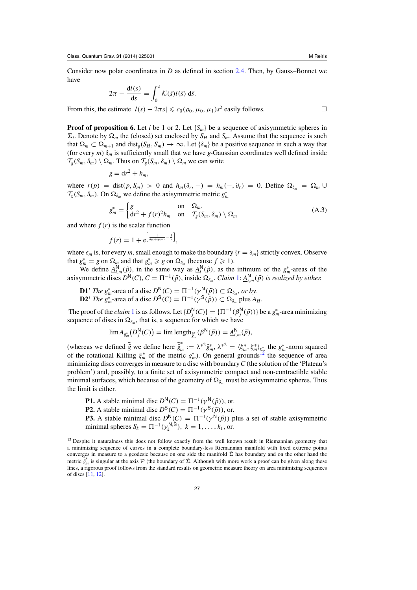Consider now polar coordinates in *D* as defined in section [2.4.](#page-8-0) Then, by Gauss–Bonnet we have

$$
2\pi - \frac{dl(s)}{ds} = \int_0^s \mathcal{K}(\bar{s}) l(\bar{s}) d\bar{s}.
$$

From this, the estimate  $|l(s) - 2\pi s| \leq c_0(\rho_0, \mu_0, \mu_1) s^2$  easily follows.

**Proof of proposition 6.** Let *i* be 1 or 2. Let  $\{S_m\}$  be a sequence of axisymmetric spheres in  $\Sigma_i$ . Denote by  $\Omega_m$  the (closed) set enclosed by  $S_H$  and  $S_m$ . Assume that the sequence is such that  $\Omega_m \subset \Omega_{m+1}$  and dist<sub>g</sub>( $S_H$ ,  $S_m$ )  $\to \infty$ . Let  $\{\delta_m\}$  be a positive sequence in such a way that (for every *m*)  $\delta_m$  is sufficiently small that we have *g*-Gaussian coordinates well defined inside  $\mathcal{T}_g(S_m, \delta_m) \setminus \Omega_m$ . Thus on  $\mathcal{T}_g(S_m, \delta_m) \setminus \Omega_m$  we can write

$$
g = dr^2 + h_m,
$$

where  $r(p) = \text{dist}(p, S_m) > 0$  and  $h_m(\partial_r, -) = h_m(-, \partial_r) = 0$ . Define  $\Omega_{\delta_m} = \Omega_m \cup$  $\mathcal{T}_g(S_m, \delta_m)$ . On  $\Omega_{\delta_m}$  we define the axisymmetric metric  $g_m^*$ 

$$
g_m^* = \begin{cases} g & \text{on} \quad \Omega_m, \\ dr^2 + f(r)^2 h_m & \text{on} \quad T_g(S_m, \delta_m) \setminus \Omega_m \end{cases}
$$
(A.3)

and where  $f(r)$  is the scalar function

$$
f(r) = 1 + e^{\left[\frac{1}{\delta_m + \epsilon_m - r} - \frac{1}{r}\right]},
$$

where  $\epsilon_m$  is, for every *m*, small enough to make the boundary  $\{r = \delta_m\}$  strictly convex. Observe that  $g_m^* = g$  on  $\Omega_m$  and that  $g_m^* \ge g$  on  $\Omega_{\delta_m}$  (because  $f \ge 1$ ).

We define  $A_{i,m}^N(\tilde{p})$ , in the same way as  $A_i^N(\tilde{p})$ , as the infimum of the  $g_m^*$ -areas of the axisymmetric discs  $D^N(C)$ ,  $C = \Pi^{-1}(\tilde{p})$ , inside  $\Omega_{\delta_m}$ . *Claim* [1:](#page-12-0)  $\underline{A}^N_{i,m}(\tilde{p})$  *is realized by either.* 

**D1'** *The*  $g_m^*$ -area of a disc  $D_N^N(C) = \Pi^{-1}(\gamma^N(\tilde{p})) \subset \Omega_{\delta_m}$ , or by. **D2'** *The*  $g_m^*$ -area of a disc  $D^{\mathsf{S}}(C) = \Pi^{-1}(\gamma^{\mathsf{S}}(\tilde{p})) \subset \Omega_{\delta_m}$  plus  $A_H$ .

The proof of the *claim* [1](#page-12-0) is as follows. Let  $\{D_j^N(C)\} = {\{\Pi^{-1}(\beta_j^N(\tilde{p}))\}}$  be a  $g_m^*$ -area minimizing sequence of discs in  $\Omega_{\delta_m}$ , that is, a sequence for which we have

$$
\lim A_{g_m^*}(D_j^{\mathsf{N}}(C)) = \lim \text{length}_{\tilde{g}_m^*}(\beta^{\mathsf{N}}(\tilde{p})) = \underline{A}_{i,m}^{\mathsf{N}}(\tilde{p}),
$$

(whereas we defined  $\bar{\tilde{g}}$  we define here  $\bar{\tilde{g}}_m^* := \lambda^{*2} \tilde{g}_m^*$ ,  $\lambda^{*2} = \langle \xi_m^*, \xi_m^* \rangle_{g_m^*}$  the  $g_m^*$ -norm squared of the rotational Killing  $\xi_m^*$  of the metric  $g_m^*$ ). On general grounds<sup>12</sup> the sequence of area minimizing discs converges in measure to a disc with boundary*C* (the solution of the 'Plateau's problem') and, possibly, to a finite set of axisymmetric compact and non-contractible stable minimal surfaces, which because of the geometry of  $\Omega_{\delta_m}$  must be axisymmetric spheres. Thus the limit is either.

**P1.** A stable minimal disc  $D^{N}(C) = \Pi^{-1}(\gamma^{N}(\tilde{p}))$ , or.<br>**P2.** A stable minimal disc  $D^{S}(C) = \Pi^{-1}(\gamma^{S}(\tilde{p}))$  or

**P2.** A stable minimal disc 
$$
D^{S}(C) = \Pi^{-1}(\gamma^{S}(\tilde{p}))
$$
, or.

**P3.** A stable minimal disc  $D^N(C) = \Pi^{-1}(\gamma^N(\tilde{p}))$  plus a set of stable axisymmetric minimal spheres  $S_k = \Pi^{-1}(\gamma_k^{N,S})$ ,  $k = 1, ..., k_1$ , or.

<sup>&</sup>lt;sup>12</sup> Despite it naturalness this does not follow exactly from the well known result in Riemannian geometry that a minimizing sequence of curves in a complete boundary-less Riemannian manifold with fixed extreme points converges in measure to a geodesic because on one side the manifold  $\bar{\Sigma}$  has boundary and on the other hand the metric  $\overline{\tilde{g}}_m^*$  is singular at the axis P (the boundary of  $\tilde{\Sigma}$ . Although with more work a proof can be given along these lines, a rigorous proof follows from the standard results on geometric measure theory on area minimizing sequences of discs [\[11](#page-28-0), [12](#page-28-0)].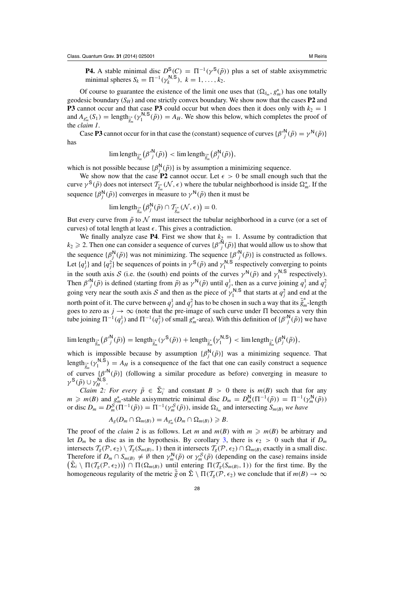**P4.** A stable minimal disc  $D^S(C) = \Pi^{-1}(\gamma^S(\tilde{p}))$  plus a set of stable axisymmetric minimal spheres  $S_k = \Pi^{-1}(\gamma_k^{N,S}), k = 1, ..., k_2$ .

Of course to guarantee the existence of the limit one uses that  $(\Omega_{\delta_m}, g_m^*)$  has one totally geodesic boundary (*SH*) and one strictly convex boundary. We show now that the cases **P2** and **P3** cannot occur and that case **P3** could occur but when does then it does only with  $k_2 = 1$ and  $A_{g_m^*}(S_1) = \text{length}_{\tilde{g}_m^*}(\gamma_1^{\mathbb{N},\mathbb{S}}(\tilde{p})) = A_H$ . We show this below, which completes the proof of the *claim 1*.

Case **P3** cannot occur for in that case the (constant) sequence of curves  $\{\beta''^N_j(\tilde{p}) = \gamma^N(\tilde{p})\}$ has

$$
\lim\text{length}_{\tilde{g}_m^*}\big(\beta'{}^{\mathsf{N}}_j(\tilde{p})\big) < \lim\text{length}_{\tilde{g}_m^*}\big(\beta_j^{\mathsf{N}}(\tilde{p})\big),
$$

which is not possible because  $\{\beta_j^N(\tilde{p})\}$  is by assumption a minimizing sequence.

We show now that the case **P2** cannot occur. Let  $\epsilon > 0$  be small enough such that the curve  $\gamma^S(\tilde{p})$  does not intersect  $\mathcal{T}_{\tilde{g}_m}^*(\mathcal{N}, \epsilon)$  where the tubular neighborhood is inside  $\Omega_m^*$ . If the sequence  $\{\beta_j^N(\tilde{p})\}$  converges in measure to  $\gamma^N(\tilde{p})$  then it must be

$$
\lim \text{length}_{\tilde{g}_m^*} (\beta_j^{\mathsf{N}}(\tilde{p}) \cap \mathcal{T}_{\tilde{g}_m^*}(\mathcal{N}, \epsilon)) = 0.
$$

But every curve from  $\tilde{p}$  to  $\mathcal N$  must intersect the tubular neighborhood in a curve (or a set of curves) of total length at least  $\epsilon$ . This gives a contradiction.

We finally analyze case **P4**. First we show that  $k_2 = 1$ . Assume by contradiction that  $k_2 \geq 2$ . Then one can consider a sequence of curves  $\{\beta^N \}(\tilde{p})\}$  that would allow us to show that the sequence  $\{\beta_j^N(\tilde{p})\}$  was not minimizing. The sequence  $\{\beta_j^N(\tilde{p})\}$  is constructed as follows. Let  $\{q_j^1\}$  and  $\{q_j^2\}$  be sequences of points in  $\gamma^S(\tilde{p})$  and  $\gamma_1^{N,S}$  respectively converging to points in the south axis S (i.e. the (south) end points of the curves  $\gamma^{N}(\tilde{p})$  and  $\gamma_1^{N,S}$  respectively). Then  $\beta'^N_j(\tilde{p})$  is defined (starting from  $\tilde{p}$ ) as  $\gamma^N(\tilde{p})$  until  $q_j^1$ , then as a curve joining  $q_j^1$  and  $q_j^2$ going very near the south axis S and then as the piece of  $\gamma_1^{N,S}$  that starts at  $q_j^2$  and end at the north point of it. The curve between  $q_j^1$  and  $q_j^2$  has to be chosen in such a way that its  $\bar{g}_m^*$ -length goes to zero as  $j \to \infty$  (note that the pre-image of such curve under  $\Pi$  becomes a very thin tube joining  $\Pi^{-1}(q_j^1)$  and  $\Pi^{-1}(q_j^2)$  of small  $g_m^*$ -area). With this definition of  $\{\beta'^N_j(\tilde{p})\}$  we have

 $\lim \text{length}_{\tilde{g}_m^*} (\beta'^N_j(\tilde{p})) = \text{length}_{\tilde{g}_m^*} (\gamma^S(\tilde{p})) + \text{length}_{\tilde{g}_m^*} (\gamma^{N,S}) < \lim \text{length}_{\tilde{g}_m^*} (\beta^N_j(\tilde{p})),$ 

which is impossible because by assumption  $\{\beta_j^N(\tilde{p})\}$  was a minimizing sequence. That length<sub> $\tilde{g}_m^*(\gamma_1^{\mathsf{N},\mathsf{S}}) = A_H$  is a consequence of the fact that one can easily construct a sequence</sub> of curves  $\{\beta'_{s_m}(\tilde{p})\}$  (following a similar procedure as before) converging in measure to  $\gamma^{\mathsf{S}}(\tilde{p}) \cup \gamma_H^{\mathsf{N},\mathsf{S}}.$ 

*Claim 2: For every*  $\tilde{p} \in \Sigma_i^{\circ}$  and constant  $B > 0$  there is  $m(B)$  such that for any  $m \ge m(B)$  and  $g_m^*$ -stable axisymmetric minimal disc  $D_m = D_m^N(\Pi^{-1}(\tilde{p})) = \Pi^{-1}(\gamma_m^N(\tilde{p}))$ or disc  $D_m = D_m^S(\Pi^{-1}(\tilde{p})) = \Pi^{-1}(\gamma_m^S(\tilde{p}))$ , inside  $\Omega_{\delta_m}$  and intersecting  $S_{m(B)}$  *we have* 

$$
A_g(D_m \cap \Omega_{m(B)}) = A_{g_m^*}(D_m \cap \Omega_{m(B)}) \geq B.
$$

The proof of the *claim* 2 is as follows. Let *m* and  $m(B)$  with  $m \ge m(B)$  be arbitrary and let  $D_m$  be a disc as in the hypothesis. By corollary [3,](#page-10-0) there is  $\epsilon_2 > 0$  such that if  $D_m$ intersects  $T_g(\mathcal{P}, \epsilon_2) \setminus T_g(S_{m(B)}, 1)$  then it intersects  $T_g(\mathcal{P}, \epsilon_2) \cap \Omega_{m(B)}$  exactly in a small disc. Therefore if  $D_m \cap S_{m(B)} \neq \emptyset$  then  $\gamma_m^N(\tilde{p})$  or  $\gamma_m^S(\tilde{p})$  (depending on the case) remains inside  $(\tilde{\Sigma}_i \setminus \Pi(\mathcal{T}_{g}(\mathcal{P}, \epsilon_2)) \cap \Pi(\Omega_{m(B)})$  until entering  $\Pi(\mathcal{T}_{g}(\tilde{S}_{m(B)}, 1))$  for the first time. By the homogeneous regularity of the metric  $\tilde{g}$  on  $\Sigma \setminus \Pi(\mathcal{T}_g(\mathcal{P}, \epsilon_2))$  we conclude that if  $m(B) \to \infty$